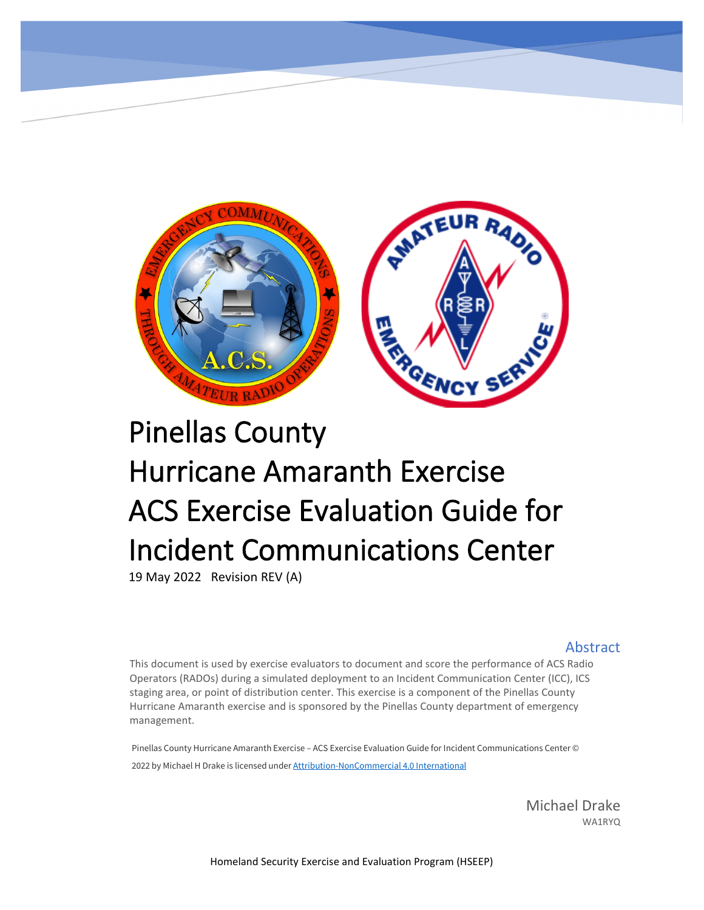

# Pinellas County Hurricane Amaranth Exercise ACS Exercise Evaluation Guide for Incident Communications Center

19 May 2022 Revision REV (A)

#### **Abstract**

This document is used by exercise evaluators to document and score the performance of ACS Radio Operators (RADOs) during a simulated deployment to an Incident Communication Center (ICC), ICS staging area, or point of distribution center. This exercise is a component of the Pinellas County Hurricane Amaranth exercise and is sponsored by the Pinellas County department of emergency management.

Pinellas County Hurricane Amaranth Exercise – ACS Exercise Evaluation Guide for Incident Communications Center © 2022 by Michael H Drake is licensed under **[Attribution-NonCommercial 4.0 International](http://creativecommons.org/licenses/by-nc/4.0/?ref=chooser-v1)** 

> Michael Drake WA1RYQ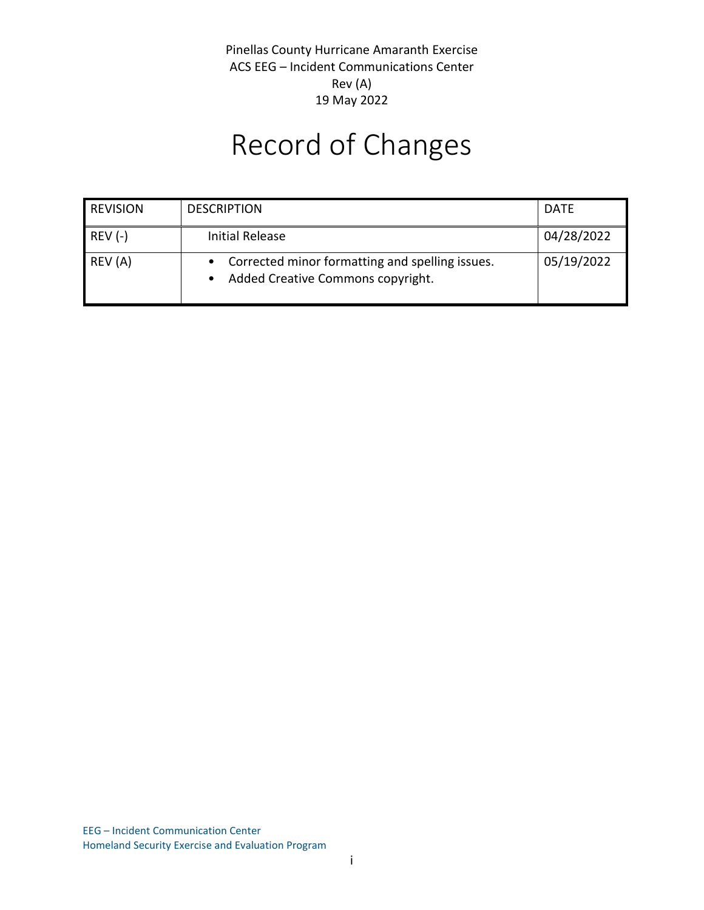# Record of Changes

| <b>REVISION</b> | <b>DESCRIPTION</b>                                                                     | <b>DATE</b> |
|-----------------|----------------------------------------------------------------------------------------|-------------|
| $REV (-)$       | Initial Release                                                                        | 04/28/2022  |
| REV (A)         | • Corrected minor formatting and spelling issues.<br>Added Creative Commons copyright. | 05/19/2022  |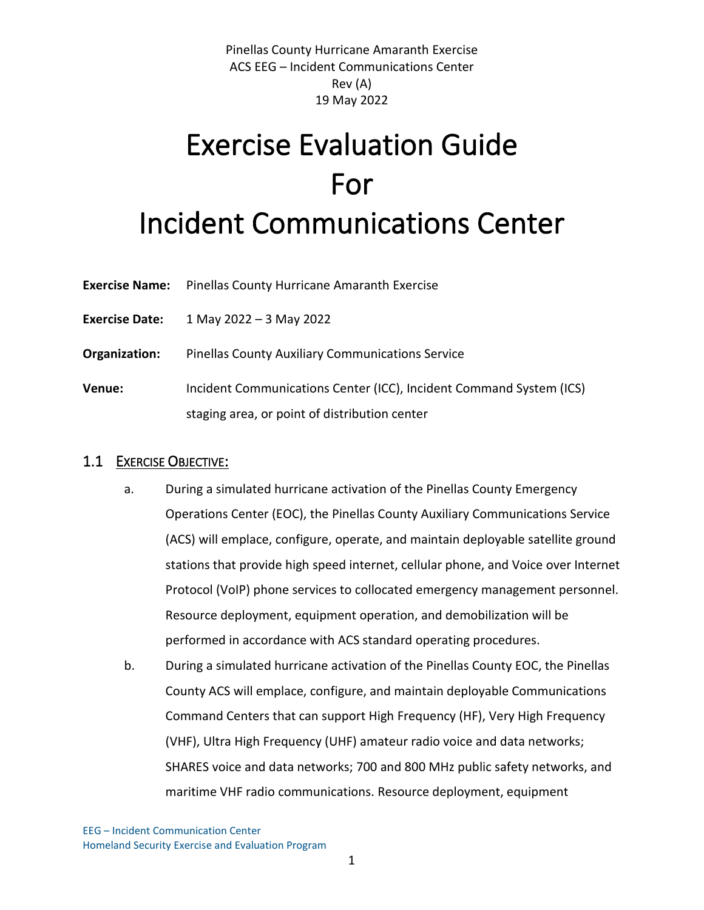# Exercise Evaluation Guide For Incident Communications Center

| <b>Exercise Name:</b> Pinellas County Hurricane Amaranth Exercise |
|-------------------------------------------------------------------|
|                                                                   |

**Exercise Date:** 1 May 2022 – 3 May 2022

**Organization:** Pinellas County Auxiliary Communications Service

**Venue:** Incident Communications Center (ICC), Incident Command System (ICS) staging area, or point of distribution center

## 1.1 EXERCISE OBJECTIVE:

- a. During a simulated hurricane activation of the Pinellas County Emergency Operations Center (EOC), the Pinellas County Auxiliary Communications Service (ACS) will emplace, configure, operate, and maintain deployable satellite ground stations that provide high speed internet, cellular phone, and Voice over Internet Protocol (VoIP) phone services to collocated emergency management personnel. Resource deployment, equipment operation, and demobilization will be performed in accordance with ACS standard operating procedures.
- b. During a simulated hurricane activation of the Pinellas County EOC, the Pinellas County ACS will emplace, configure, and maintain deployable Communications Command Centers that can support High Frequency (HF), Very High Frequency (VHF), Ultra High Frequency (UHF) amateur radio voice and data networks; SHARES voice and data networks; 700 and 800 MHz public safety networks, and maritime VHF radio communications. Resource deployment, equipment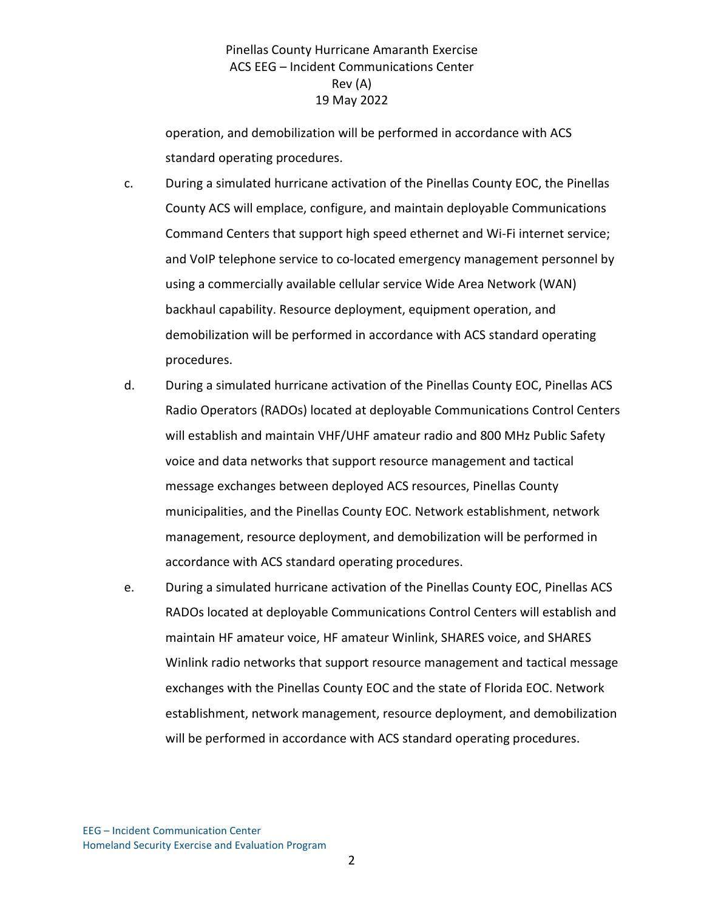operation, and demobilization will be performed in accordance with ACS standard operating procedures.

- c. During a simulated hurricane activation of the Pinellas County EOC, the Pinellas County ACS will emplace, configure, and maintain deployable Communications Command Centers that support high speed ethernet and Wi-Fi internet service; and VoIP telephone service to co-located emergency management personnel by using a commercially available cellular service Wide Area Network (WAN) backhaul capability. Resource deployment, equipment operation, and demobilization will be performed in accordance with ACS standard operating procedures.
- d. During a simulated hurricane activation of the Pinellas County EOC, Pinellas ACS Radio Operators (RADOs) located at deployable Communications Control Centers will establish and maintain VHF/UHF amateur radio and 800 MHz Public Safety voice and data networks that support resource management and tactical message exchanges between deployed ACS resources, Pinellas County municipalities, and the Pinellas County EOC. Network establishment, network management, resource deployment, and demobilization will be performed in accordance with ACS standard operating procedures.
- e. During a simulated hurricane activation of the Pinellas County EOC, Pinellas ACS RADOs located at deployable Communications Control Centers will establish and maintain HF amateur voice, HF amateur Winlink, SHARES voice, and SHARES Winlink radio networks that support resource management and tactical message exchanges with the Pinellas County EOC and the state of Florida EOC. Network establishment, network management, resource deployment, and demobilization will be performed in accordance with ACS standard operating procedures.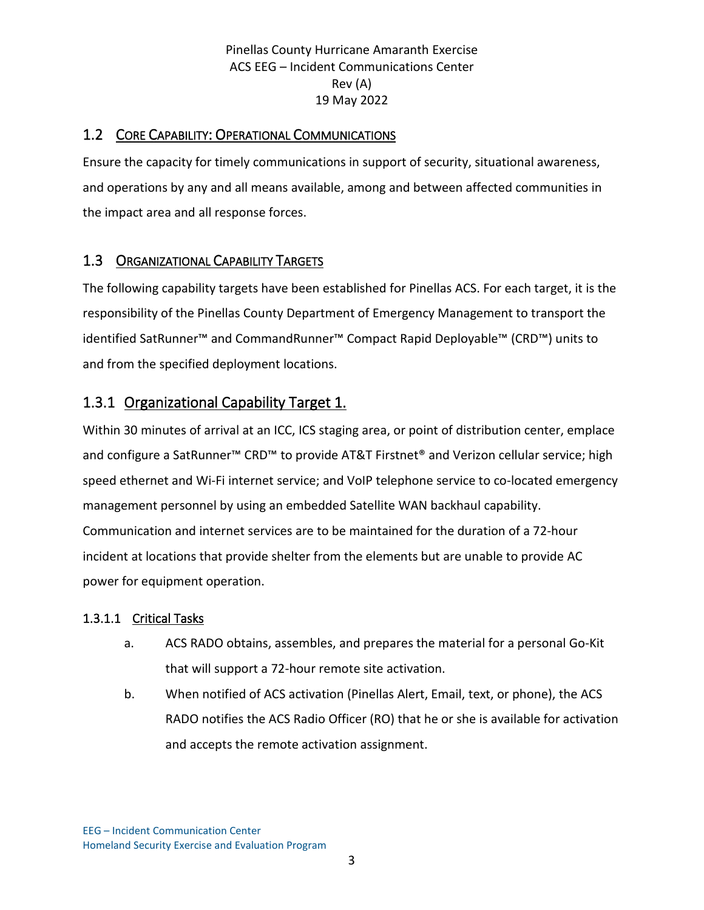## 1.2 CORE CAPABILITY: OPERATIONAL COMMUNICATIONS

Ensure the capacity for timely communications in support of security, situational awareness, and operations by any and all means available, among and between affected communities in the impact area and all response forces.

## 1.3 ORGANIZATIONAL CAPABILITY TARGETS

The following capability targets have been established for Pinellas ACS. For each target, it is the responsibility of the Pinellas County Department of Emergency Management to transport the identified SatRunner™ and CommandRunner™ Compact Rapid Deployable™ (CRD™) units to and from the specified deployment locations.

## 1.3.1 Organizational Capability Target 1.

Within 30 minutes of arrival at an ICC, ICS staging area, or point of distribution center, emplace and configure a SatRunner™ CRD™ to provide AT&T Firstnet® and Verizon cellular service; high speed ethernet and Wi-Fi internet service; and VoIP telephone service to co-located emergency management personnel by using an embedded Satellite WAN backhaul capability. Communication and internet services are to be maintained for the duration of a 72-hour incident at locations that provide shelter from the elements but are unable to provide AC power for equipment operation.

#### 1.3.1.1 Critical Tasks

- a. ACS RADO obtains, assembles, and prepares the material for a personal Go-Kit that will support a 72-hour remote site activation.
- b. When notified of ACS activation (Pinellas Alert, Email, text, or phone), the ACS RADO notifies the ACS Radio Officer (RO) that he or she is available for activation and accepts the remote activation assignment.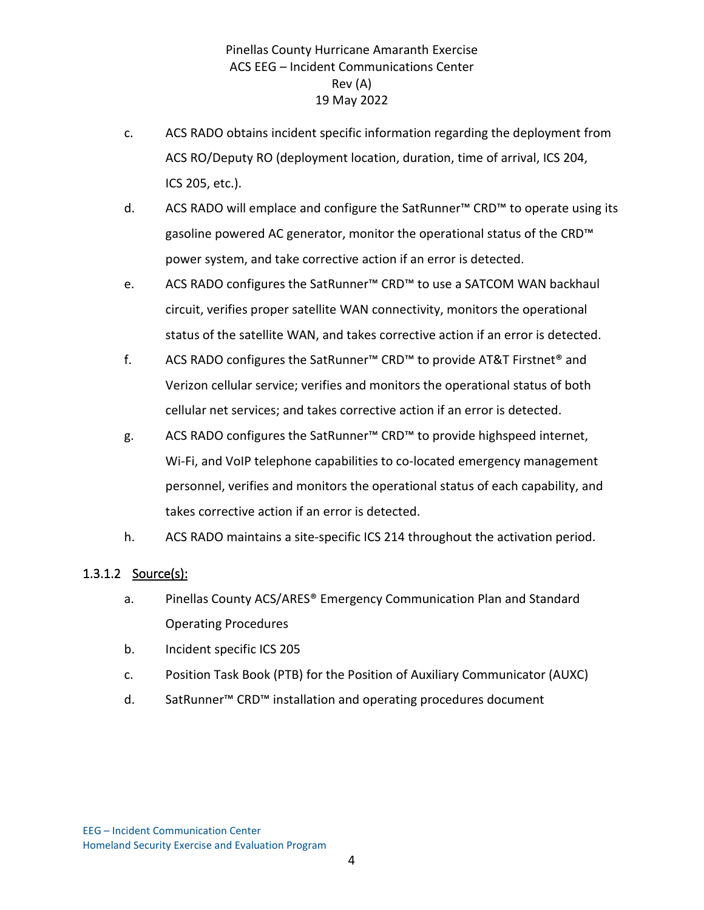- c. ACS RADO obtains incident specific information regarding the deployment from ACS RO/Deputy RO (deployment location, duration, time of arrival, ICS 204, ICS 205, etc.).
- d. ACS RADO will emplace and configure the SatRunner™ CRD™ to operate using its gasoline powered AC generator, monitor the operational status of the CRD™ power system, and take corrective action if an error is detected.
- e. ACS RADO configures the SatRunner™ CRD™ to use a SATCOM WAN backhaul circuit, verifies proper satellite WAN connectivity, monitors the operational status of the satellite WAN, and takes corrective action if an error is detected.
- f. ACS RADO configures the SatRunner™ CRD™ to provide AT&T Firstnet® and Verizon cellular service; verifies and monitors the operational status of both cellular net services; and takes corrective action if an error is detected.
- g. ACS RADO configures the SatRunner™ CRD™ to provide highspeed internet, Wi-Fi, and VoIP telephone capabilities to co-located emergency management personnel, verifies and monitors the operational status of each capability, and takes corrective action if an error is detected.
- h. ACS RADO maintains a site-specific ICS 214 throughout the activation period.

#### 1.3.1.2 Source(s):

- a. Pinellas County ACS/ARES® Emergency Communication Plan and Standard Operating Procedures
- b. Incident specific ICS 205
- c. Position Task Book (PTB) for the Position of Auxiliary Communicator (AUXC)
- d. SatRunner™ CRD™ installation and operating procedures document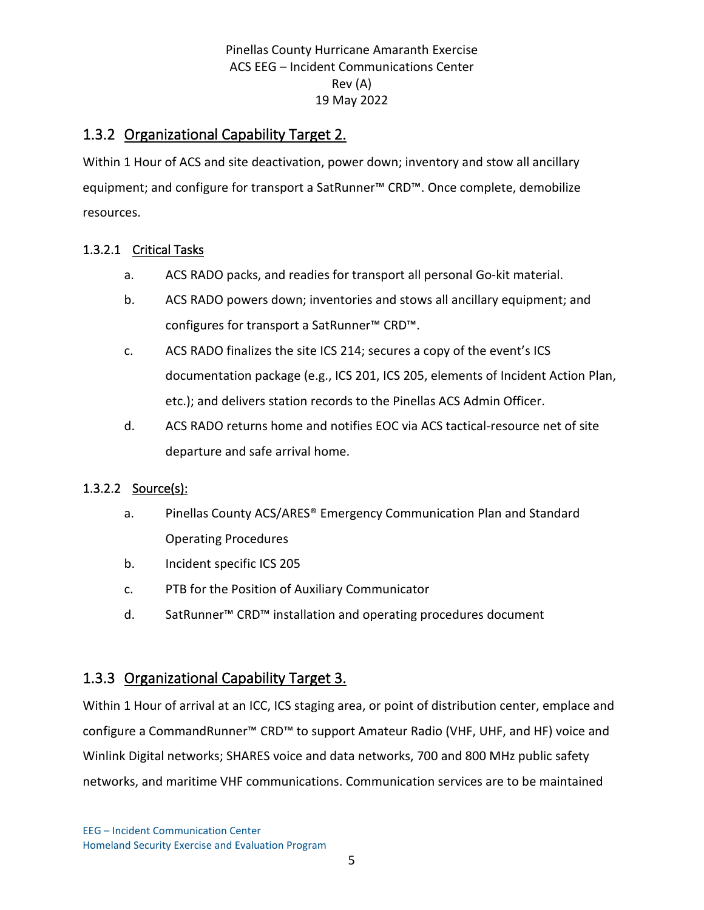## 1.3.2 Organizational Capability Target 2.

Within 1 Hour of ACS and site deactivation, power down; inventory and stow all ancillary equipment; and configure for transport a SatRunner™ CRD™. Once complete, demobilize resources.

## 1.3.2.1 Critical Tasks

- a. ACS RADO packs, and readies for transport all personal Go-kit material.
- b. ACS RADO powers down; inventories and stows all ancillary equipment; and configures for transport a SatRunner™ CRD™.
- c. ACS RADO finalizes the site ICS 214; secures a copy of the event's ICS documentation package (e.g., ICS 201, ICS 205, elements of Incident Action Plan, etc.); and delivers station records to the Pinellas ACS Admin Officer.
- d. ACS RADO returns home and notifies EOC via ACS tactical-resource net of site departure and safe arrival home.

#### 1.3.2.2 Source(s):

- a. Pinellas County ACS/ARES® Emergency Communication Plan and Standard Operating Procedures
- b. Incident specific ICS 205
- c. PTB for the Position of Auxiliary Communicator
- d. SatRunner™ CRD™ installation and operating procedures document

## 1.3.3 Organizational Capability Target 3.

Within 1 Hour of arrival at an ICC, ICS staging area, or point of distribution center, emplace and configure a CommandRunner™ CRD™ to support Amateur Radio (VHF, UHF, and HF) voice and Winlink Digital networks; SHARES voice and data networks, 700 and 800 MHz public safety networks, and maritime VHF communications. Communication services are to be maintained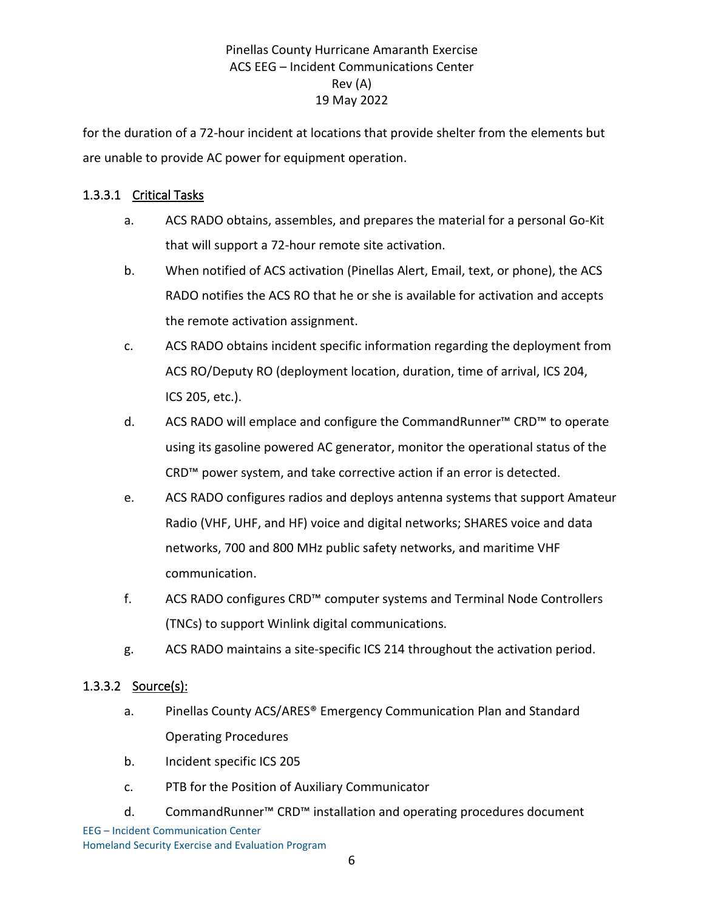for the duration of a 72-hour incident at locations that provide shelter from the elements but are unable to provide AC power for equipment operation.

### 1.3.3.1 Critical Tasks

- a. ACS RADO obtains, assembles, and prepares the material for a personal Go-Kit that will support a 72-hour remote site activation.
- b. When notified of ACS activation (Pinellas Alert, Email, text, or phone), the ACS RADO notifies the ACS RO that he or she is available for activation and accepts the remote activation assignment.
- c. ACS RADO obtains incident specific information regarding the deployment from ACS RO/Deputy RO (deployment location, duration, time of arrival, ICS 204, ICS 205, etc.).
- d. ACS RADO will emplace and configure the CommandRunner™ CRD™ to operate using its gasoline powered AC generator, monitor the operational status of the CRD™ power system, and take corrective action if an error is detected.
- e. ACS RADO configures radios and deploys antenna systems that support Amateur Radio (VHF, UHF, and HF) voice and digital networks; SHARES voice and data networks, 700 and 800 MHz public safety networks, and maritime VHF communication.
- f. ACS RADO configures CRD™ computer systems and Terminal Node Controllers (TNCs) to support Winlink digital communications.
- g. ACS RADO maintains a site-specific ICS 214 throughout the activation period.

## 1.3.3.2 Source(s):

- a. Pinellas County ACS/ARES® Emergency Communication Plan and Standard Operating Procedures
- b. Incident specific ICS 205
- c. PTB for the Position of Auxiliary Communicator
- EEG Incident Communication Center Homeland Security Exercise and Evaluation Program d. CommandRunner™ CRD™ installation and operating procedures document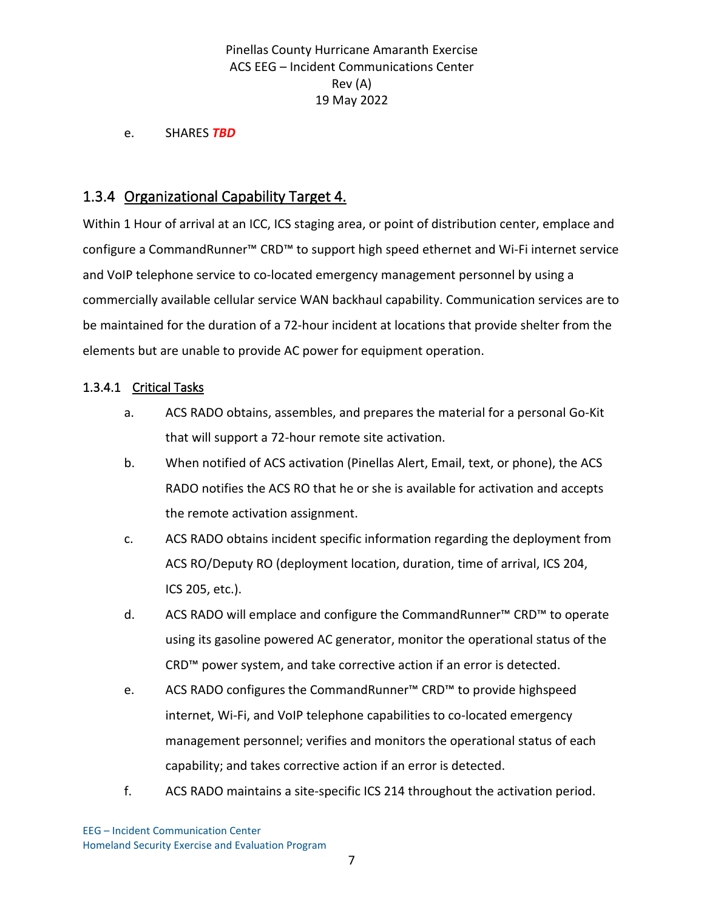e. SHARES *TBD*

## 1.3.4 Organizational Capability Target 4.

Within 1 Hour of arrival at an ICC, ICS staging area, or point of distribution center, emplace and configure a CommandRunner™ CRD™ to support high speed ethernet and Wi-Fi internet service and VoIP telephone service to co-located emergency management personnel by using a commercially available cellular service WAN backhaul capability. Communication services are to be maintained for the duration of a 72-hour incident at locations that provide shelter from the elements but are unable to provide AC power for equipment operation.

#### 1.3.4.1 Critical Tasks

- a. ACS RADO obtains, assembles, and prepares the material for a personal Go-Kit that will support a 72-hour remote site activation.
- b. When notified of ACS activation (Pinellas Alert, Email, text, or phone), the ACS RADO notifies the ACS RO that he or she is available for activation and accepts the remote activation assignment.
- c. ACS RADO obtains incident specific information regarding the deployment from ACS RO/Deputy RO (deployment location, duration, time of arrival, ICS 204, ICS 205, etc.).
- d. ACS RADO will emplace and configure the CommandRunner™ CRD™ to operate using its gasoline powered AC generator, monitor the operational status of the CRD™ power system, and take corrective action if an error is detected.
- e. ACS RADO configures the CommandRunner™ CRD™ to provide highspeed internet, Wi-Fi, and VoIP telephone capabilities to co-located emergency management personnel; verifies and monitors the operational status of each capability; and takes corrective action if an error is detected.
- f. ACS RADO maintains a site-specific ICS 214 throughout the activation period.

EEG – Incident Communication Center Homeland Security Exercise and Evaluation Program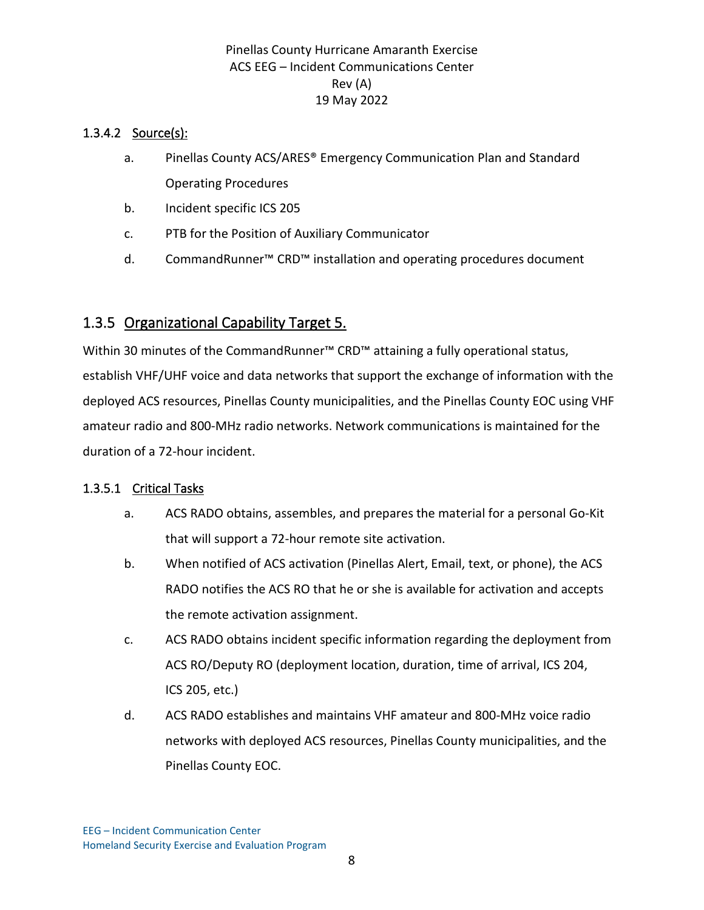### 1.3.4.2 Source(s):

- a. Pinellas County ACS/ARES® Emergency Communication Plan and Standard Operating Procedures
- b. Incident specific ICS 205
- c. PTB for the Position of Auxiliary Communicator
- d. CommandRunner™ CRD™ installation and operating procedures document

## 1.3.5 Organizational Capability Target 5.

Within 30 minutes of the CommandRunner<sup>™</sup> CRD<sup>™</sup> attaining a fully operational status, establish VHF/UHF voice and data networks that support the exchange of information with the deployed ACS resources, Pinellas County municipalities, and the Pinellas County EOC using VHF amateur radio and 800-MHz radio networks. Network communications is maintained for the duration of a 72-hour incident.

#### 1.3.5.1 Critical Tasks

- a. ACS RADO obtains, assembles, and prepares the material for a personal Go-Kit that will support a 72-hour remote site activation.
- b. When notified of ACS activation (Pinellas Alert, Email, text, or phone), the ACS RADO notifies the ACS RO that he or she is available for activation and accepts the remote activation assignment.
- c. ACS RADO obtains incident specific information regarding the deployment from ACS RO/Deputy RO (deployment location, duration, time of arrival, ICS 204, ICS 205, etc.)
- d. ACS RADO establishes and maintains VHF amateur and 800-MHz voice radio networks with deployed ACS resources, Pinellas County municipalities, and the Pinellas County EOC.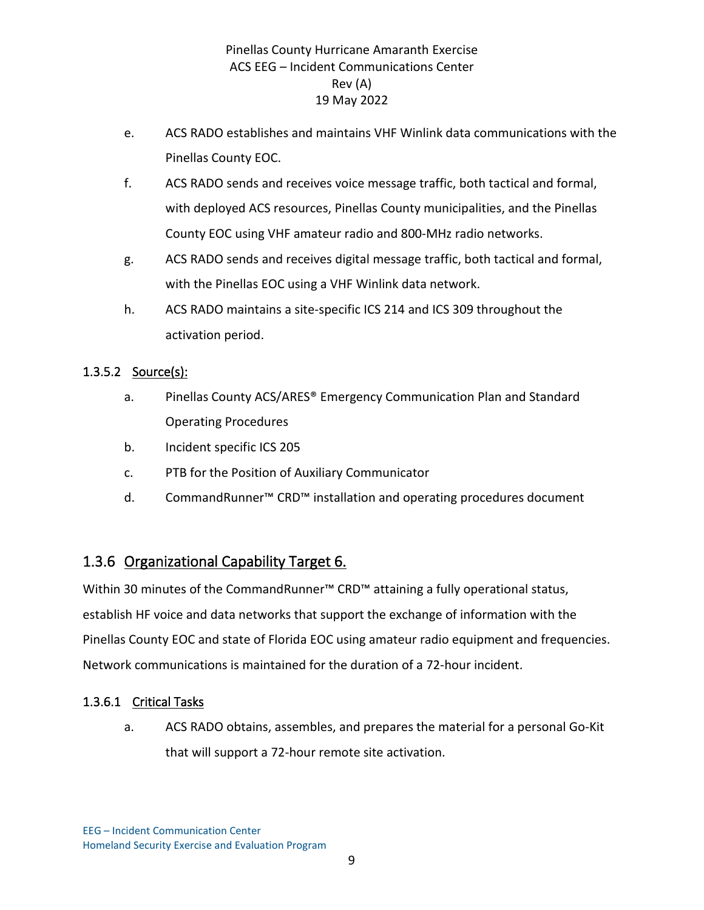- e. ACS RADO establishes and maintains VHF Winlink data communications with the Pinellas County EOC.
- f. ACS RADO sends and receives voice message traffic, both tactical and formal, with deployed ACS resources, Pinellas County municipalities, and the Pinellas County EOC using VHF amateur radio and 800-MHz radio networks.
- g. ACS RADO sends and receives digital message traffic, both tactical and formal, with the Pinellas EOC using a VHF Winlink data network.
- h. ACS RADO maintains a site-specific ICS 214 and ICS 309 throughout the activation period.

## 1.3.5.2 Source(s):

- a. Pinellas County ACS/ARES® Emergency Communication Plan and Standard Operating Procedures
- b. Incident specific ICS 205
- c. PTB for the Position of Auxiliary Communicator
- d. CommandRunner™ CRD™ installation and operating procedures document

## 1.3.6 Organizational Capability Target 6.

Within 30 minutes of the CommandRunner™ CRD™ attaining a fully operational status, establish HF voice and data networks that support the exchange of information with the Pinellas County EOC and state of Florida EOC using amateur radio equipment and frequencies. Network communications is maintained for the duration of a 72-hour incident.

#### 1.3.6.1 Critical Tasks

a. ACS RADO obtains, assembles, and prepares the material for a personal Go-Kit that will support a 72-hour remote site activation.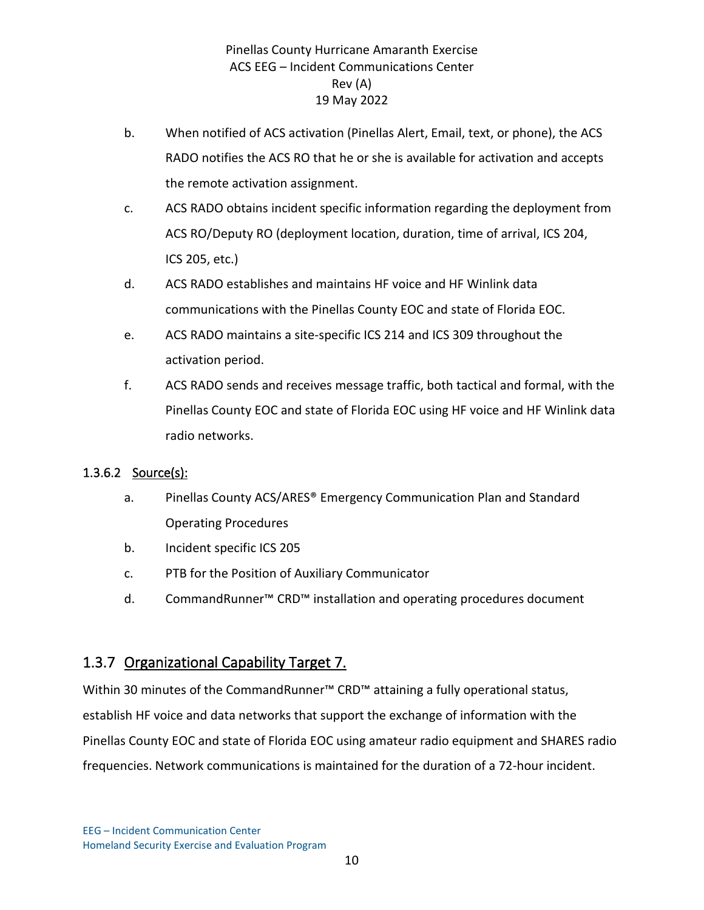- b. When notified of ACS activation (Pinellas Alert, Email, text, or phone), the ACS RADO notifies the ACS RO that he or she is available for activation and accepts the remote activation assignment.
- c. ACS RADO obtains incident specific information regarding the deployment from ACS RO/Deputy RO (deployment location, duration, time of arrival, ICS 204, ICS 205, etc.)
- d. ACS RADO establishes and maintains HF voice and HF Winlink data communications with the Pinellas County EOC and state of Florida EOC.
- e. ACS RADO maintains a site-specific ICS 214 and ICS 309 throughout the activation period.
- f. ACS RADO sends and receives message traffic, both tactical and formal, with the Pinellas County EOC and state of Florida EOC using HF voice and HF Winlink data radio networks.

## 1.3.6.2 Source(s):

- a. Pinellas County ACS/ARES® Emergency Communication Plan and Standard Operating Procedures
- b. Incident specific ICS 205
- c. PTB for the Position of Auxiliary Communicator
- d. CommandRunner™ CRD™ installation and operating procedures document

# 1.3.7 Organizational Capability Target 7.

Within 30 minutes of the CommandRunner™ CRD™ attaining a fully operational status, establish HF voice and data networks that support the exchange of information with the Pinellas County EOC and state of Florida EOC using amateur radio equipment and SHARES radio frequencies. Network communications is maintained for the duration of a 72-hour incident.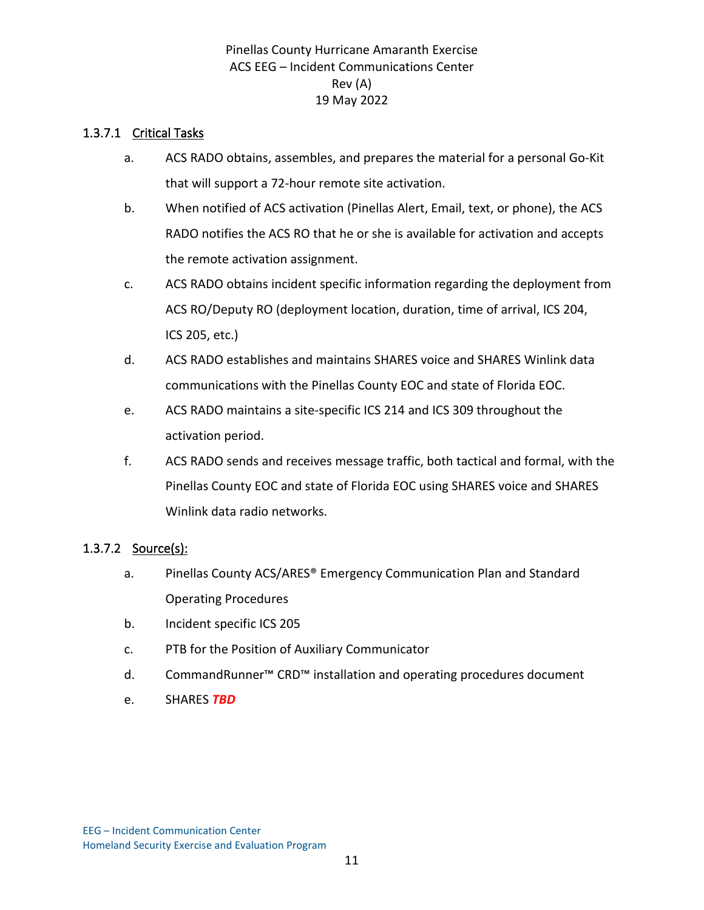### 1.3.7.1 Critical Tasks

- a. ACS RADO obtains, assembles, and prepares the material for a personal Go-Kit that will support a 72-hour remote site activation.
- b. When notified of ACS activation (Pinellas Alert, Email, text, or phone), the ACS RADO notifies the ACS RO that he or she is available for activation and accepts the remote activation assignment.
- c. ACS RADO obtains incident specific information regarding the deployment from ACS RO/Deputy RO (deployment location, duration, time of arrival, ICS 204, ICS 205, etc.)
- d. ACS RADO establishes and maintains SHARES voice and SHARES Winlink data communications with the Pinellas County EOC and state of Florida EOC.
- e. ACS RADO maintains a site-specific ICS 214 and ICS 309 throughout the activation period.
- f. ACS RADO sends and receives message traffic, both tactical and formal, with the Pinellas County EOC and state of Florida EOC using SHARES voice and SHARES Winlink data radio networks.

#### 1.3.7.2 Source(s):

- a. Pinellas County ACS/ARES® Emergency Communication Plan and Standard Operating Procedures
- b. Incident specific ICS 205
- c. PTB for the Position of Auxiliary Communicator
- d. CommandRunner™ CRD™ installation and operating procedures document
- e. SHARES *TBD*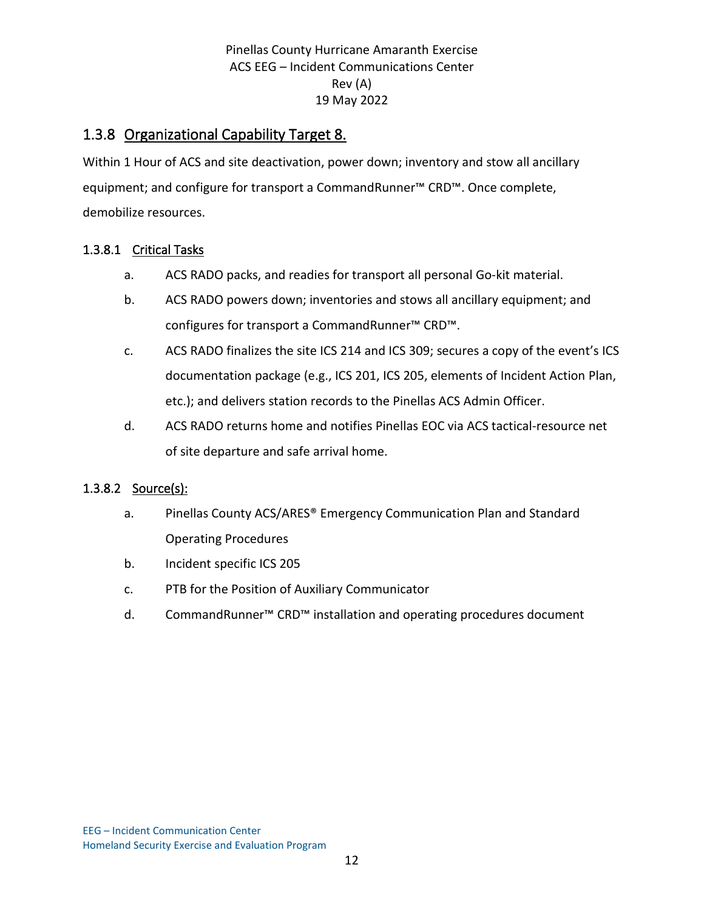## 1.3.8 Organizational Capability Target 8.

Within 1 Hour of ACS and site deactivation, power down; inventory and stow all ancillary equipment; and configure for transport a CommandRunner™ CRD™. Once complete, demobilize resources.

#### 1.3.8.1 Critical Tasks

- a. ACS RADO packs, and readies for transport all personal Go-kit material.
- b. ACS RADO powers down; inventories and stows all ancillary equipment; and configures for transport a CommandRunner™ CRD™.
- c. ACS RADO finalizes the site ICS 214 and ICS 309; secures a copy of the event's ICS documentation package (e.g., ICS 201, ICS 205, elements of Incident Action Plan, etc.); and delivers station records to the Pinellas ACS Admin Officer.
- d. ACS RADO returns home and notifies Pinellas EOC via ACS tactical-resource net of site departure and safe arrival home.

#### 1.3.8.2 Source(s):

- a. Pinellas County ACS/ARES® Emergency Communication Plan and Standard Operating Procedures
- b. Incident specific ICS 205
- c. PTB for the Position of Auxiliary Communicator
- d. CommandRunner™ CRD™ installation and operating procedures document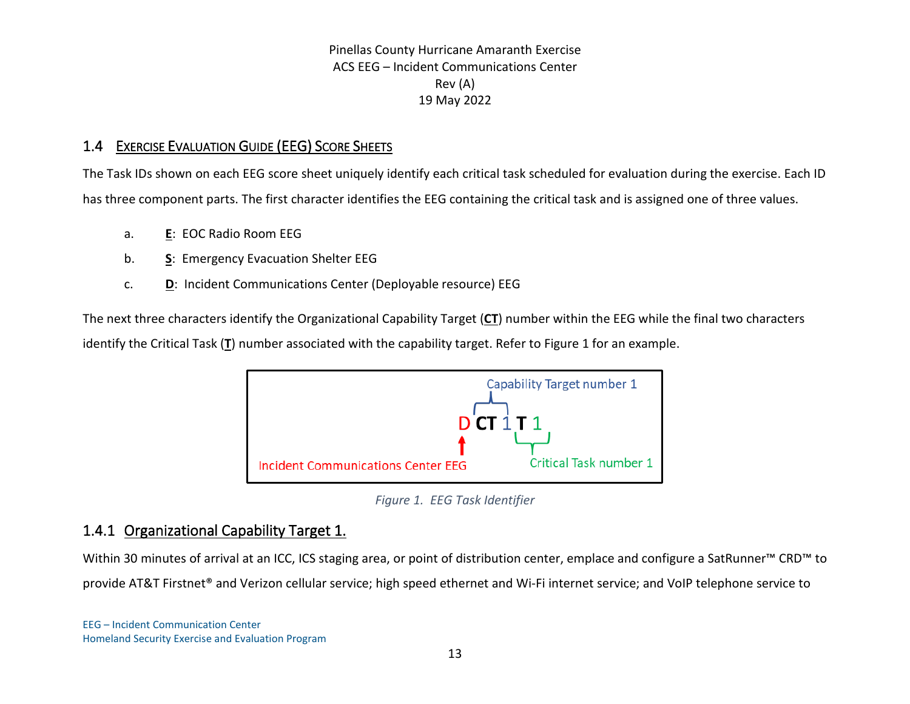## 1.4 EXERCISE EVALUATION GUIDE (EEG) SCORE SHEETS

The Task IDs shown on each EEG score sheet uniquely identify each critical task scheduled for evaluation during the exercise. Each ID has three component parts. The first character identifies the EEG containing the critical task and is assigned one of three values.

- a. **E**: EOC Radio Room EEG
- b. **S**: Emergency Evacuation Shelter EEG
- c. **D**: Incident Communications Center (Deployable resource) EEG

The next three characters identify the Organizational Capability Target (**CT**) number within the EEG while the final two characters identify the Critical Task (**T**) number associated with the capability target. Refer to [Figure 1](#page-15-0) for an example.



*Figure 1. EEG Task Identifier*

## <span id="page-15-0"></span>1.4.1 Organizational Capability Target 1.

Within 30 minutes of arrival at an ICC, ICS staging area, or point of distribution center, emplace and configure a SatRunner™ CRD™ to provide AT&T Firstnet® and Verizon cellular service; high speed ethernet and Wi-Fi internet service; and VoIP telephone service to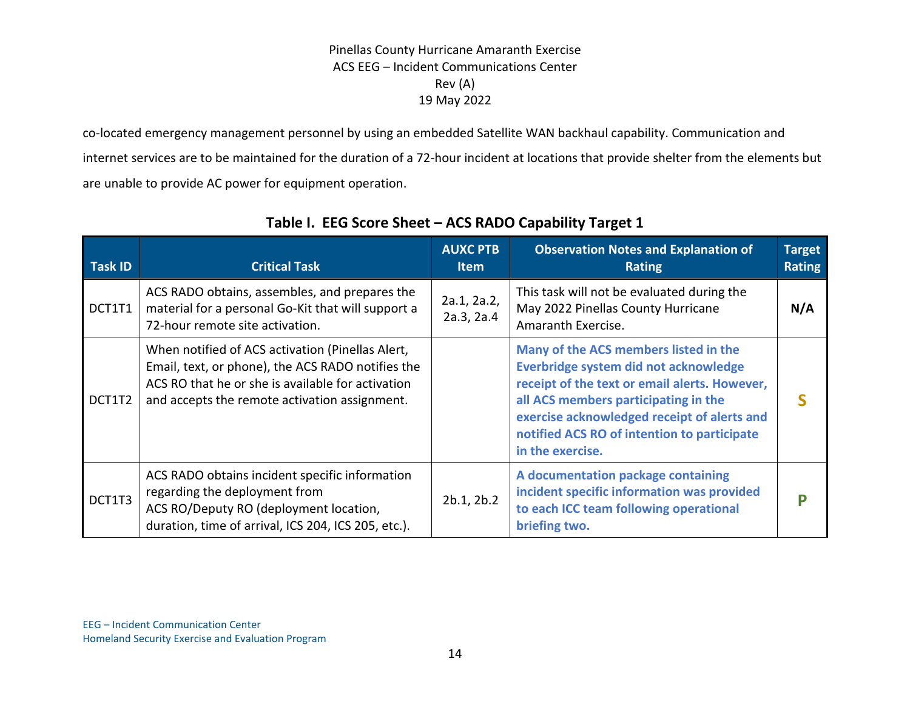co-located emergency management personnel by using an embedded Satellite WAN backhaul capability. Communication and internet services are to be maintained for the duration of a 72-hour incident at locations that provide shelter from the elements but are unable to provide AC power for equipment operation.

| <b>Task ID</b> | <b>Critical Task</b>                                                                                                                                                                                        | <b>AUXC PTB</b><br><b>Item</b> | <b>Observation Notes and Explanation of</b><br><b>Rating</b>                                                                                                                                                                                                                              | <b>Target</b><br><b>Rating</b> |
|----------------|-------------------------------------------------------------------------------------------------------------------------------------------------------------------------------------------------------------|--------------------------------|-------------------------------------------------------------------------------------------------------------------------------------------------------------------------------------------------------------------------------------------------------------------------------------------|--------------------------------|
| DCT1T1         | ACS RADO obtains, assembles, and prepares the<br>material for a personal Go-Kit that will support a<br>72-hour remote site activation.                                                                      | 2a.1, 2a.2,<br>2a.3, 2a.4      | This task will not be evaluated during the<br>May 2022 Pinellas County Hurricane<br>Amaranth Exercise.                                                                                                                                                                                    | N/A                            |
| DCT1T2         | When notified of ACS activation (Pinellas Alert,<br>Email, text, or phone), the ACS RADO notifies the<br>ACS RO that he or she is available for activation<br>and accepts the remote activation assignment. |                                | Many of the ACS members listed in the<br>Everbridge system did not acknowledge<br>receipt of the text or email alerts. However,<br>all ACS members participating in the<br>exercise acknowledged receipt of alerts and<br>notified ACS RO of intention to participate<br>in the exercise. |                                |
| DCT1T3         | ACS RADO obtains incident specific information<br>regarding the deployment from<br>ACS RO/Deputy RO (deployment location,<br>duration, time of arrival, ICS 204, ICS 205, etc.).                            | 2b.1, 2b.2                     | A documentation package containing<br>incident specific information was provided<br>to each ICC team following operational<br>briefing two.                                                                                                                                               | D                              |

## **Table I. EEG Score Sheet – ACS RADO Capability Target 1**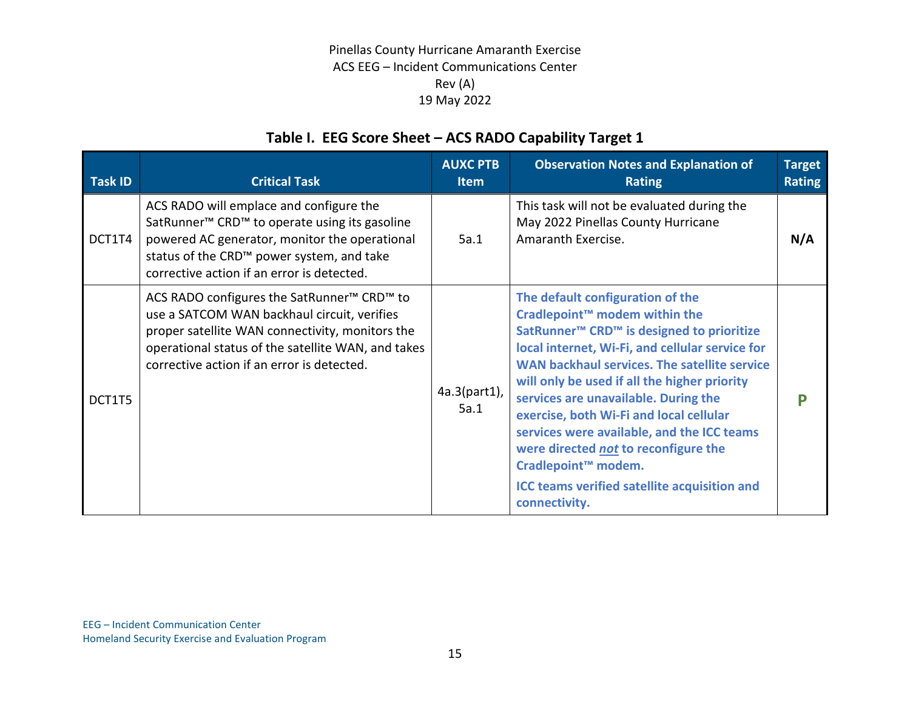# **Table I. EEG Score Sheet – ACS RADO Capability Target 1**

| <b>Task ID</b> | <b>Critical Task</b>                                                                                                                                                                                                                                                     | <b>AUXC PTB</b><br><b>Item</b> | <b>Observation Notes and Explanation of</b><br><b>Rating</b>                                                                                                                                                                                                                                                                                                                                                                                                                                                                                                                              | <b>Target</b><br><b>Rating</b> |
|----------------|--------------------------------------------------------------------------------------------------------------------------------------------------------------------------------------------------------------------------------------------------------------------------|--------------------------------|-------------------------------------------------------------------------------------------------------------------------------------------------------------------------------------------------------------------------------------------------------------------------------------------------------------------------------------------------------------------------------------------------------------------------------------------------------------------------------------------------------------------------------------------------------------------------------------------|--------------------------------|
| DCT1T4         | ACS RADO will emplace and configure the<br>SatRunner <sup>™</sup> CRD <sup>™</sup> to operate using its gasoline<br>powered AC generator, monitor the operational<br>status of the CRD <sup>™</sup> power system, and take<br>corrective action if an error is detected. | 5a.1                           | This task will not be evaluated during the<br>May 2022 Pinellas County Hurricane<br>Amaranth Exercise.                                                                                                                                                                                                                                                                                                                                                                                                                                                                                    | N/A                            |
| DCT1T5         | ACS RADO configures the SatRunner <sup>™</sup> CRD <sup>™</sup> to<br>use a SATCOM WAN backhaul circuit, verifies<br>proper satellite WAN connectivity, monitors the<br>operational status of the satellite WAN, and takes<br>corrective action if an error is detected. | $4a.3(part1)$ ,<br>5a.1        | The default configuration of the<br>Cradlepoint <sup>™</sup> modem within the<br>SatRunner <sup>™</sup> CRD <sup>™</sup> is designed to prioritize<br>local internet, Wi-Fi, and cellular service for<br>WAN backhaul services. The satellite service<br>will only be used if all the higher priority<br>services are unavailable. During the<br>exercise, both Wi-Fi and local cellular<br>services were available, and the ICC teams<br>were directed not to reconfigure the<br>Cradlepoint <sup>™</sup> modem.<br><b>ICC teams verified satellite acquisition and</b><br>connectivity. | D                              |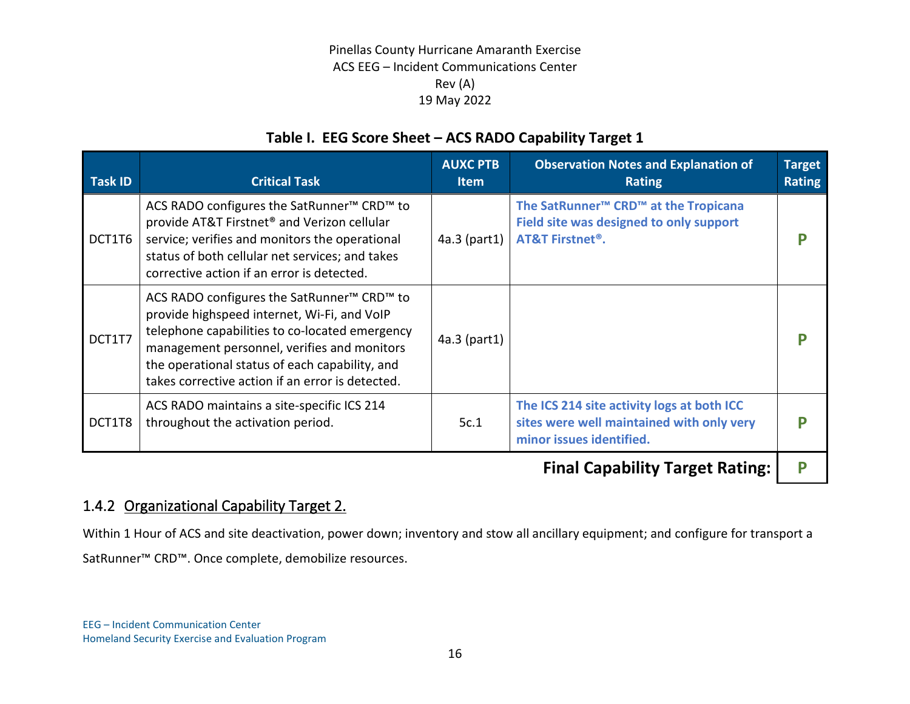## **Table I. EEG Score Sheet – ACS RADO Capability Target 1**

| <b>Task ID</b> | <b>Critical Task</b>                                                                                                                                                                                                                                                                                                     | <b>AUXC PTB</b><br><b>Item</b> | <b>Observation Notes and Explanation of</b><br><b>Rating</b>                                                                                     | <b>Target</b><br><b>Rating</b> |
|----------------|--------------------------------------------------------------------------------------------------------------------------------------------------------------------------------------------------------------------------------------------------------------------------------------------------------------------------|--------------------------------|--------------------------------------------------------------------------------------------------------------------------------------------------|--------------------------------|
| DCT1T6         | ACS RADO configures the SatRunner <sup>™</sup> CRD <sup>™</sup> to<br>provide AT&T Firstnet <sup>®</sup> and Verizon cellular<br>service; verifies and monitors the operational<br>status of both cellular net services; and takes<br>corrective action if an error is detected.                                         | 4a.3 (part1)                   | The SatRunner <sup>™</sup> CRD <sup>™</sup> at the Tropicana<br>Field site was designed to only support<br><b>AT&amp;T Firstnet<sup>®</sup>.</b> |                                |
| DCT1T7         | ACS RADO configures the SatRunner <sup>™</sup> CRD <sup>™</sup> to<br>provide highspeed internet, Wi-Fi, and VoIP<br>telephone capabilities to co-located emergency<br>management personnel, verifies and monitors<br>the operational status of each capability, and<br>takes corrective action if an error is detected. | $4a.3$ (part1)                 |                                                                                                                                                  |                                |
| DCT1T8         | ACS RADO maintains a site-specific ICS 214<br>throughout the activation period.                                                                                                                                                                                                                                          | 5c.1                           | The ICS 214 site activity logs at both ICC<br>sites were well maintained with only very<br>minor issues identified.                              |                                |
|                |                                                                                                                                                                                                                                                                                                                          |                                | Final Association Tax                                                                                                                            |                                |

**Final Capability Target Rating: P**

## 1.4.2 Organizational Capability Target 2.

Within 1 Hour of ACS and site deactivation, power down; inventory and stow all ancillary equipment; and configure for transport a SatRunner™ CRD™. Once complete, demobilize resources.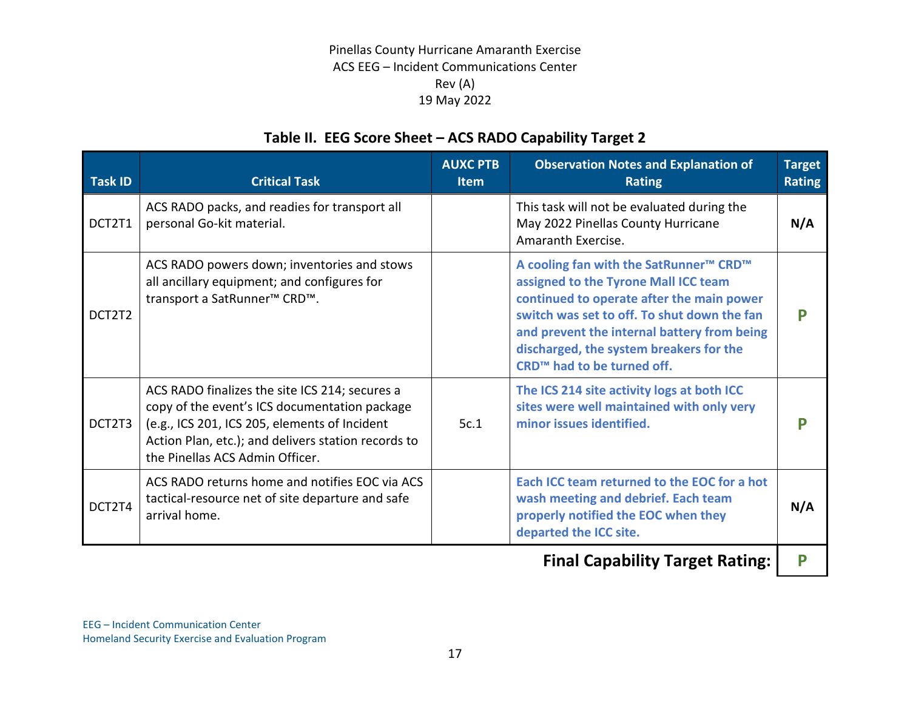# **Table II. EEG Score Sheet – ACS RADO Capability Target 2**

| ACS RADO packs, and readies for transport all<br>This task will not be evaluated during the<br>personal Go-kit material.<br>May 2022 Pinellas County Hurricane<br>DCT2T1<br>Amaranth Exercise.<br>ACS RADO powers down; inventories and stows<br>A cooling fan with the SatRunner™ CRD™<br>assigned to the Tyrone Mall ICC team<br>all ancillary equipment; and configures for<br>continued to operate after the main power<br>transport a SatRunner <sup>™</sup> CRD <sup>™</sup> .<br>switch was set to off. To shut down the fan<br>DCT2T2<br>and prevent the internal battery from being<br>discharged, the system breakers for the<br>CRD <sup>™</sup> had to be turned off.<br>The ICS 214 site activity logs at both ICC<br>ACS RADO finalizes the site ICS 214; secures a<br>copy of the event's ICS documentation package<br>sites were well maintained with only very<br>minor issues identified.<br>DCT2T3<br>5c.1 | Task ID | <b>Critical Task</b>                          | <b>AUXC PTB</b><br><b>Item</b> | <b>Observation Notes and Explanation of</b><br><b>Rating</b> | <b>Target</b><br><b>Rating</b> |
|-------------------------------------------------------------------------------------------------------------------------------------------------------------------------------------------------------------------------------------------------------------------------------------------------------------------------------------------------------------------------------------------------------------------------------------------------------------------------------------------------------------------------------------------------------------------------------------------------------------------------------------------------------------------------------------------------------------------------------------------------------------------------------------------------------------------------------------------------------------------------------------------------------------------------------|---------|-----------------------------------------------|--------------------------------|--------------------------------------------------------------|--------------------------------|
|                                                                                                                                                                                                                                                                                                                                                                                                                                                                                                                                                                                                                                                                                                                                                                                                                                                                                                                               |         |                                               |                                |                                                              | N/A                            |
|                                                                                                                                                                                                                                                                                                                                                                                                                                                                                                                                                                                                                                                                                                                                                                                                                                                                                                                               |         |                                               |                                |                                                              | P                              |
| Action Plan, etc.); and delivers station records to<br>the Pinellas ACS Admin Officer.                                                                                                                                                                                                                                                                                                                                                                                                                                                                                                                                                                                                                                                                                                                                                                                                                                        |         | (e.g., ICS 201, ICS 205, elements of Incident |                                |                                                              | Р                              |
| Each ICC team returned to the EOC for a hot<br>ACS RADO returns home and notifies EOC via ACS<br>tactical-resource net of site departure and safe<br>wash meeting and debrief. Each team<br>DCT2T4<br>arrival home.<br>properly notified the EOC when they<br>departed the ICC site.                                                                                                                                                                                                                                                                                                                                                                                                                                                                                                                                                                                                                                          |         |                                               |                                |                                                              | N/A                            |

**Final Capability Target Rating: | P**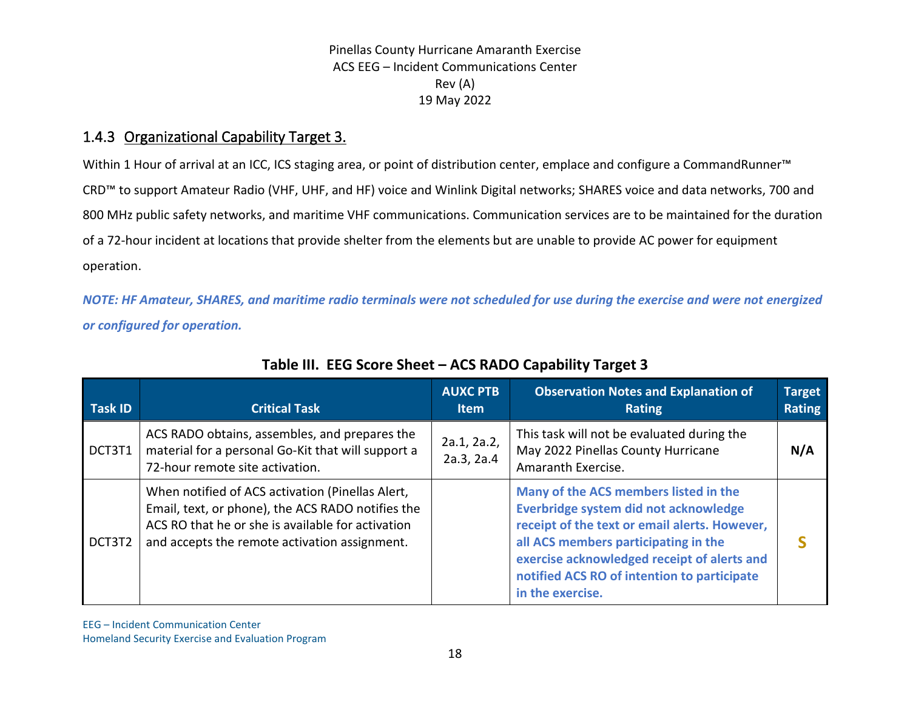## 1.4.3 Organizational Capability Target 3.

Within 1 Hour of arrival at an ICC, ICS staging area, or point of distribution center, emplace and configure a CommandRunner™ CRD™ to support Amateur Radio (VHF, UHF, and HF) voice and Winlink Digital networks; SHARES voice and data networks, 700 and 800 MHz public safety networks, and maritime VHF communications. Communication services are to be maintained for the duration of a 72-hour incident at locations that provide shelter from the elements but are unable to provide AC power for equipment operation.

*NOTE: HF Amateur, SHARES, and maritime radio terminals were not scheduled for use during the exercise and were not energized or configured for operation.*

| <b>Task ID</b> | <b>Critical Task</b>                                                                                                                                                                                        | <b>AUXC PTB</b><br>Item   | <b>Observation Notes and Explanation of</b><br>Rating                                                                                                                                                                                                                                     | <b>Target</b><br><b>Rating</b> |
|----------------|-------------------------------------------------------------------------------------------------------------------------------------------------------------------------------------------------------------|---------------------------|-------------------------------------------------------------------------------------------------------------------------------------------------------------------------------------------------------------------------------------------------------------------------------------------|--------------------------------|
| DCT3T1         | ACS RADO obtains, assembles, and prepares the<br>material for a personal Go-Kit that will support a<br>72-hour remote site activation.                                                                      | 2a.1, 2a.2,<br>2a.3, 2a.4 | This task will not be evaluated during the<br>May 2022 Pinellas County Hurricane<br>Amaranth Exercise.                                                                                                                                                                                    | N/A                            |
| DCT3T2         | When notified of ACS activation (Pinellas Alert,<br>Email, text, or phone), the ACS RADO notifies the<br>ACS RO that he or she is available for activation<br>and accepts the remote activation assignment. |                           | Many of the ACS members listed in the<br>Everbridge system did not acknowledge<br>receipt of the text or email alerts. However,<br>all ACS members participating in the<br>exercise acknowledged receipt of alerts and<br>notified ACS RO of intention to participate<br>in the exercise. |                                |

## **Table III. EEG Score Sheet – ACS RADO Capability Target 3**

EEG – Incident Communication Center Homeland Security Exercise and Evaluation Program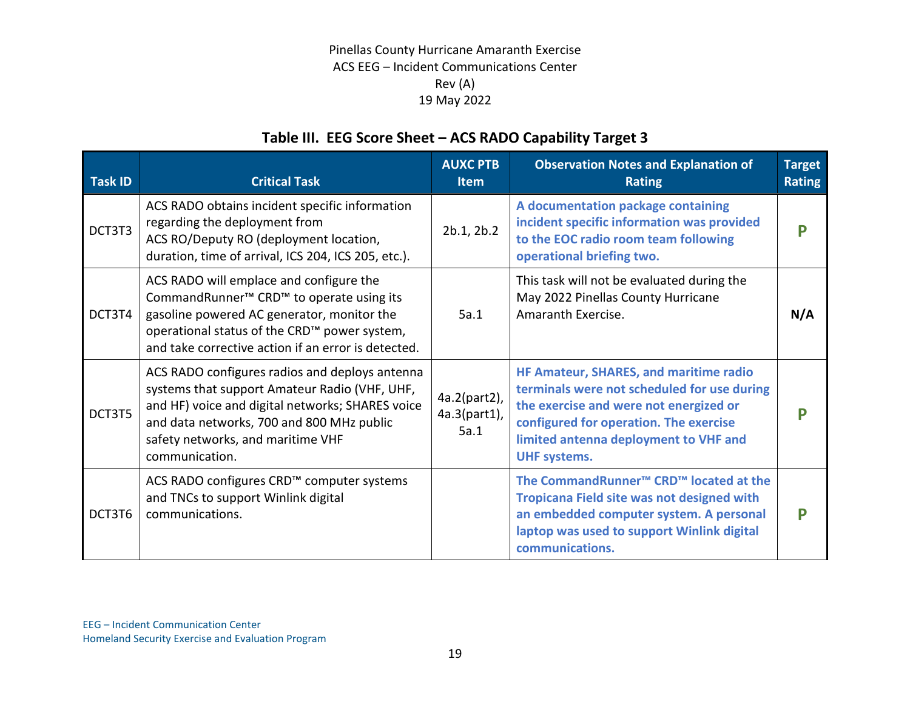# **Table III. EEG Score Sheet – ACS RADO Capability Target 3**

| <b>Task ID</b> | <b>Critical Task</b>                                                                                                                                                                                                                                             | <b>AUXC PTB</b><br><b>Item</b>       | <b>Observation Notes and Explanation of</b><br><b>Rating</b>                                                                                                                                                                              | <b>Target</b><br><b>Rating</b> |
|----------------|------------------------------------------------------------------------------------------------------------------------------------------------------------------------------------------------------------------------------------------------------------------|--------------------------------------|-------------------------------------------------------------------------------------------------------------------------------------------------------------------------------------------------------------------------------------------|--------------------------------|
| DCT3T3         | ACS RADO obtains incident specific information<br>regarding the deployment from<br>ACS RO/Deputy RO (deployment location,<br>duration, time of arrival, ICS 204, ICS 205, etc.).                                                                                 | 2b.1, 2b.2                           | A documentation package containing<br>incident specific information was provided<br>to the EOC radio room team following<br>operational briefing two.                                                                                     |                                |
| DCT3T4         | ACS RADO will emplace and configure the<br>CommandRunner <sup>™</sup> CRD <sup>™</sup> to operate using its<br>gasoline powered AC generator, monitor the<br>operational status of the CRD™ power system,<br>and take corrective action if an error is detected. | 5a.1                                 | This task will not be evaluated during the<br>May 2022 Pinellas County Hurricane<br>Amaranth Exercise.                                                                                                                                    | N/A                            |
| DCT3T5         | ACS RADO configures radios and deploys antenna<br>systems that support Amateur Radio (VHF, UHF,<br>and HF) voice and digital networks; SHARES voice<br>and data networks, 700 and 800 MHz public<br>safety networks, and maritime VHF<br>communication.          | 4a.2(part2),<br>4a.3(part1),<br>5a.1 | HF Amateur, SHARES, and maritime radio<br>terminals were not scheduled for use during<br>the exercise and were not energized or<br>configured for operation. The exercise<br>limited antenna deployment to VHF and<br><b>UHF systems.</b> | D                              |
| DCT3T6         | ACS RADO configures CRD™ computer systems<br>and TNCs to support Winlink digital<br>communications.                                                                                                                                                              |                                      | The CommandRunner <sup>™</sup> CRD <sup>™</sup> located at the<br><b>Tropicana Field site was not designed with</b><br>an embedded computer system. A personal<br>laptop was used to support Winlink digital<br>communications.           |                                |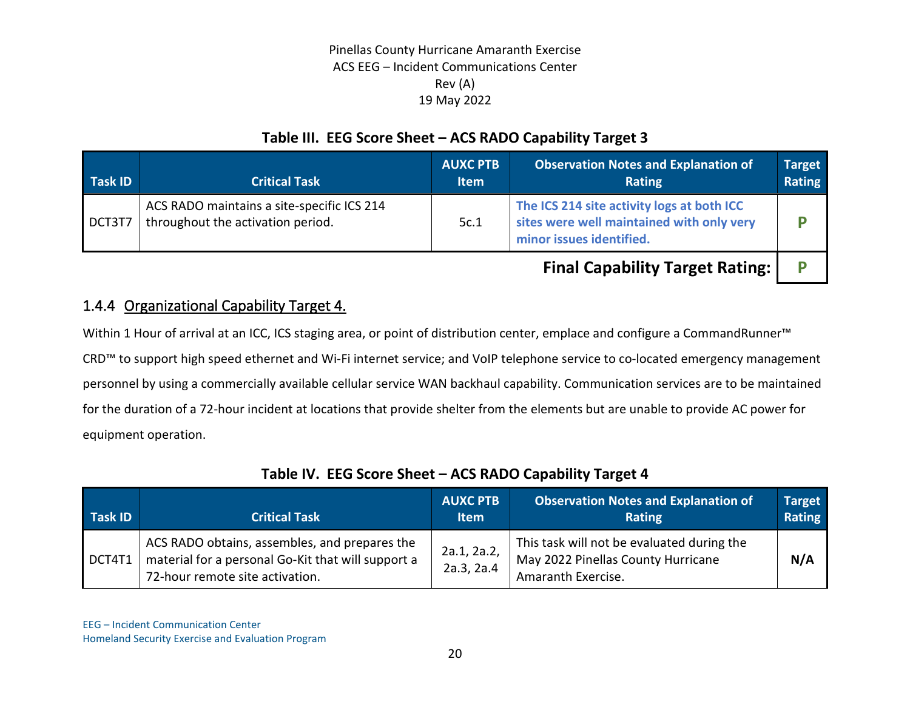## **Table III. EEG Score Sheet – ACS RADO Capability Target 3**

| Task ID | <b>Critical Task</b>                                                            | <b>AUXC PTB</b><br><b>Item</b> | <b>Observation Notes and Explanation of</b><br><b>Rating</b>                                                        | <b>Target</b><br>Rating |
|---------|---------------------------------------------------------------------------------|--------------------------------|---------------------------------------------------------------------------------------------------------------------|-------------------------|
| DCT3T7  | ACS RADO maintains a site-specific ICS 214<br>throughout the activation period. | 5c.1                           | The ICS 214 site activity logs at both ICC<br>sites were well maintained with only very<br>minor issues identified. |                         |
|         |                                                                                 |                                | <b>Final Capability Target Rating:</b>                                                                              |                         |

## 1.4.4 Organizational Capability Target 4.

Within 1 Hour of arrival at an ICC, ICS staging area, or point of distribution center, emplace and configure a CommandRunner™ CRD™ to support high speed ethernet and Wi-Fi internet service; and VoIP telephone service to co-located emergency management personnel by using a commercially available cellular service WAN backhaul capability. Communication services are to be maintained for the duration of a 72-hour incident at locations that provide shelter from the elements but are unable to provide AC power for equipment operation.

| Task ID | <b>Critical Task</b>                                                                                                                   | <b>AUXC PTB</b><br><b>Item</b> | <b>Observation Notes and Explanation of</b><br><b>Rating</b>                                           | <b>Target</b><br>Rating |
|---------|----------------------------------------------------------------------------------------------------------------------------------------|--------------------------------|--------------------------------------------------------------------------------------------------------|-------------------------|
| DCT4T1  | ACS RADO obtains, assembles, and prepares the<br>material for a personal Go-Kit that will support a<br>72-hour remote site activation. | 2a.1, 2a.2,<br>2a.3, 2a.4      | This task will not be evaluated during the<br>May 2022 Pinellas County Hurricane<br>Amaranth Exercise. | N/A                     |

## **Table IV. EEG Score Sheet – ACS RADO Capability Target 4**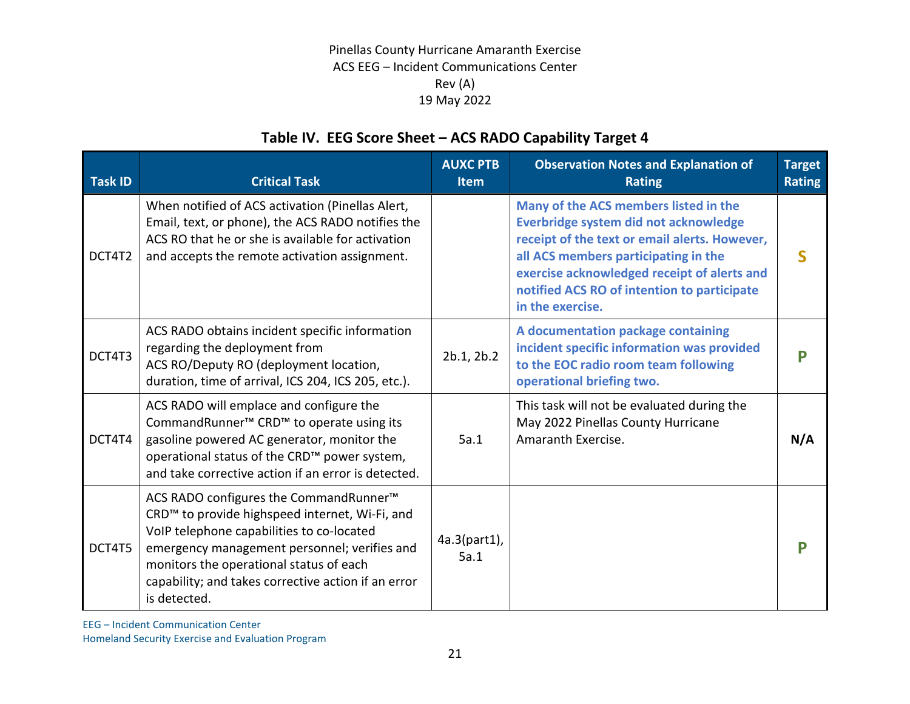# **Table IV. EEG Score Sheet – ACS RADO Capability Target 4**

| <b>Task ID</b> | <b>Critical Task</b>                                                                                                                                                                                                                                                                                                | <b>AUXC PTB</b><br><b>Item</b> | <b>Observation Notes and Explanation of</b><br><b>Rating</b>                                                                                                                                                                                                                              | <b>Target</b><br><b>Rating</b> |
|----------------|---------------------------------------------------------------------------------------------------------------------------------------------------------------------------------------------------------------------------------------------------------------------------------------------------------------------|--------------------------------|-------------------------------------------------------------------------------------------------------------------------------------------------------------------------------------------------------------------------------------------------------------------------------------------|--------------------------------|
| DCT4T2         | When notified of ACS activation (Pinellas Alert,<br>Email, text, or phone), the ACS RADO notifies the<br>ACS RO that he or she is available for activation<br>and accepts the remote activation assignment.                                                                                                         |                                | Many of the ACS members listed in the<br>Everbridge system did not acknowledge<br>receipt of the text or email alerts. However,<br>all ACS members participating in the<br>exercise acknowledged receipt of alerts and<br>notified ACS RO of intention to participate<br>in the exercise. |                                |
| DCT4T3         | ACS RADO obtains incident specific information<br>regarding the deployment from<br>ACS RO/Deputy RO (deployment location,<br>duration, time of arrival, ICS 204, ICS 205, etc.).                                                                                                                                    | 2b.1, 2b.2                     | A documentation package containing<br>incident specific information was provided<br>to the EOC radio room team following<br>operational briefing two.                                                                                                                                     |                                |
| DCT4T4         | ACS RADO will emplace and configure the<br>CommandRunner <sup>™</sup> CRD <sup>™</sup> to operate using its<br>gasoline powered AC generator, monitor the<br>operational status of the CRD™ power system,<br>and take corrective action if an error is detected.                                                    | 5a.1                           | This task will not be evaluated during the<br>May 2022 Pinellas County Hurricane<br>Amaranth Exercise.                                                                                                                                                                                    | N/A                            |
| DCT4T5         | ACS RADO configures the CommandRunner <sup>™</sup><br>CRD™ to provide highspeed internet, Wi-Fi, and<br>VoIP telephone capabilities to co-located<br>emergency management personnel; verifies and<br>monitors the operational status of each<br>capability; and takes corrective action if an error<br>is detected. | $4a.3(part1)$ ,<br>5a.1        |                                                                                                                                                                                                                                                                                           |                                |

EEG – Incident Communication Center

Homeland Security Exercise and Evaluation Program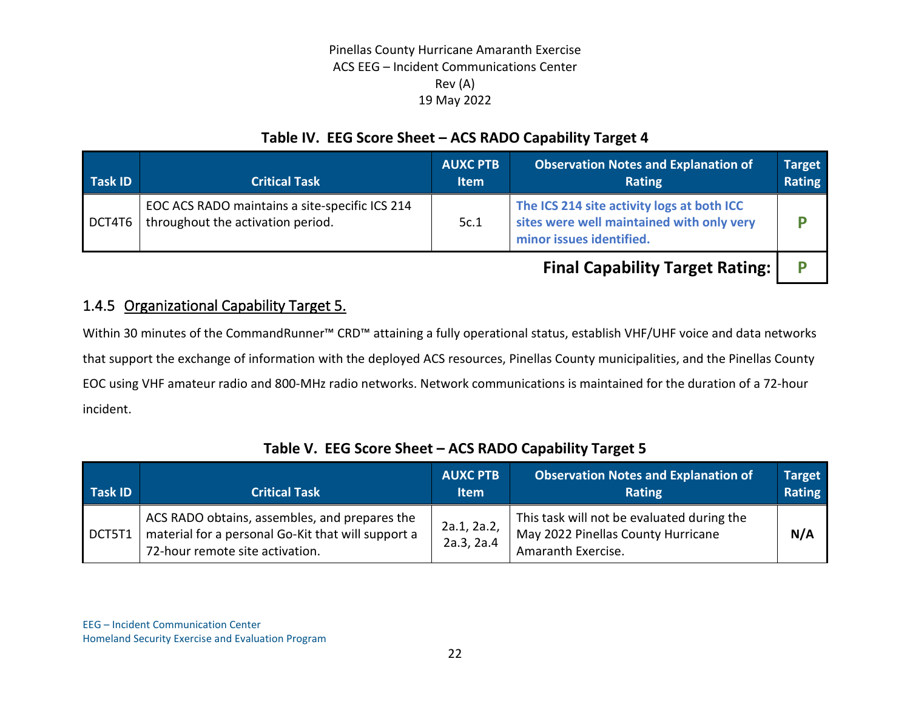## **Table IV. EEG Score Sheet – ACS RADO Capability Target 4**

| Task ID | <b>Critical Task</b>                                                                | <b>AUXC PTB</b><br><b>Item</b> | <b>Observation Notes and Explanation of</b><br><b>Rating</b>                                                        | <b>Target</b><br>Rating |
|---------|-------------------------------------------------------------------------------------|--------------------------------|---------------------------------------------------------------------------------------------------------------------|-------------------------|
| DCT4T6  | EOC ACS RADO maintains a site-specific ICS 214<br>throughout the activation period. | 5c.1                           | The ICS 214 site activity logs at both ICC<br>sites were well maintained with only very<br>minor issues identified. |                         |
|         |                                                                                     |                                | <b>Final Capability Target Rating:</b>                                                                              |                         |

## 1.4.5 Organizational Capability Target 5.

Within 30 minutes of the CommandRunner™ CRD™ attaining a fully operational status, establish VHF/UHF voice and data networks that support the exchange of information with the deployed ACS resources, Pinellas County municipalities, and the Pinellas County EOC using VHF amateur radio and 800-MHz radio networks. Network communications is maintained for the duration of a 72-hour incident.

| Task ID | <b>Critical Task</b>                                                                                                                   | <b>AUXC PTB</b><br><b>Item</b> | Observation Notes and Explanation of<br>Rating                                                         | <b>Target</b><br>Rating |
|---------|----------------------------------------------------------------------------------------------------------------------------------------|--------------------------------|--------------------------------------------------------------------------------------------------------|-------------------------|
| DCT5T1  | ACS RADO obtains, assembles, and prepares the<br>material for a personal Go-Kit that will support a<br>72-hour remote site activation. | 2a.1, 2a.2,<br>2a.3, 2a.4      | This task will not be evaluated during the<br>May 2022 Pinellas County Hurricane<br>Amaranth Exercise. | N/A                     |

## **Table V. EEG Score Sheet – ACS RADO Capability Target 5**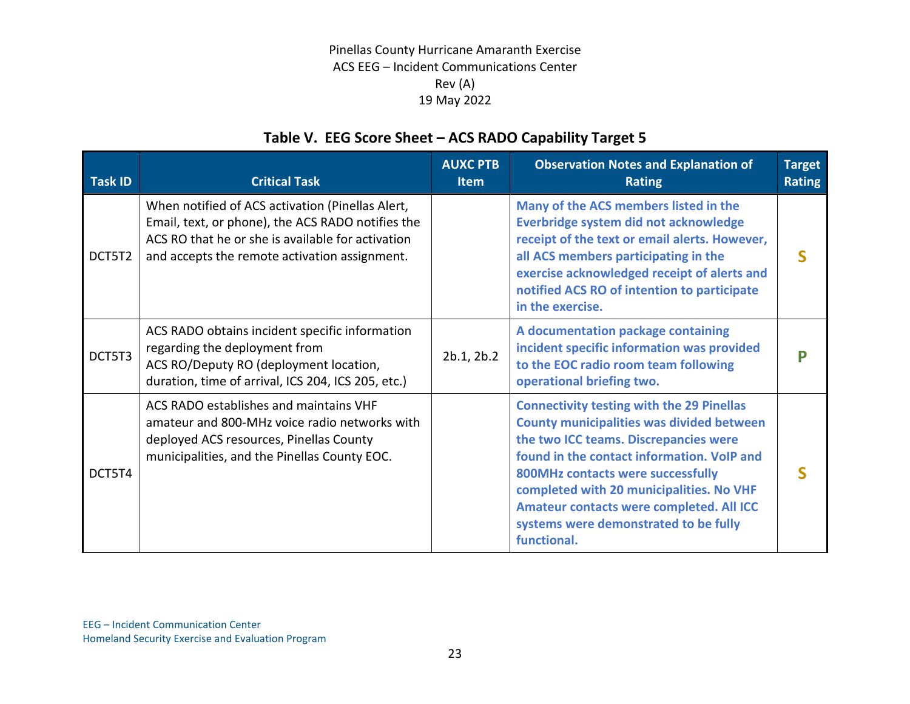# **Table V. EEG Score Sheet – ACS RADO Capability Target 5**

| Task ID | <b>Critical Task</b>                                                                                                                                                                                        | <b>AUXC PTB</b><br><b>Item</b> | <b>Observation Notes and Explanation of</b><br><b>Rating</b>                                                                                                                                                                                                                                                                                                                     | <b>Target</b><br><b>Rating</b> |
|---------|-------------------------------------------------------------------------------------------------------------------------------------------------------------------------------------------------------------|--------------------------------|----------------------------------------------------------------------------------------------------------------------------------------------------------------------------------------------------------------------------------------------------------------------------------------------------------------------------------------------------------------------------------|--------------------------------|
| DCT5T2  | When notified of ACS activation (Pinellas Alert,<br>Email, text, or phone), the ACS RADO notifies the<br>ACS RO that he or she is available for activation<br>and accepts the remote activation assignment. |                                | Many of the ACS members listed in the<br>Everbridge system did not acknowledge<br>receipt of the text or email alerts. However,<br>all ACS members participating in the<br>exercise acknowledged receipt of alerts and<br>notified ACS RO of intention to participate<br>in the exercise.                                                                                        |                                |
| DCT5T3  | ACS RADO obtains incident specific information<br>regarding the deployment from<br>ACS RO/Deputy RO (deployment location,<br>duration, time of arrival, ICS 204, ICS 205, etc.)                             | 2b.1, 2b.2                     | A documentation package containing<br>incident specific information was provided<br>to the EOC radio room team following<br>operational briefing two.                                                                                                                                                                                                                            |                                |
| DCT5T4  | ACS RADO establishes and maintains VHF<br>amateur and 800-MHz voice radio networks with<br>deployed ACS resources, Pinellas County<br>municipalities, and the Pinellas County EOC.                          |                                | <b>Connectivity testing with the 29 Pinellas</b><br><b>County municipalities was divided between</b><br>the two ICC teams. Discrepancies were<br>found in the contact information. VoIP and<br>800MHz contacts were successfully<br>completed with 20 municipalities. No VHF<br>Amateur contacts were completed. All ICC<br>systems were demonstrated to be fully<br>functional. |                                |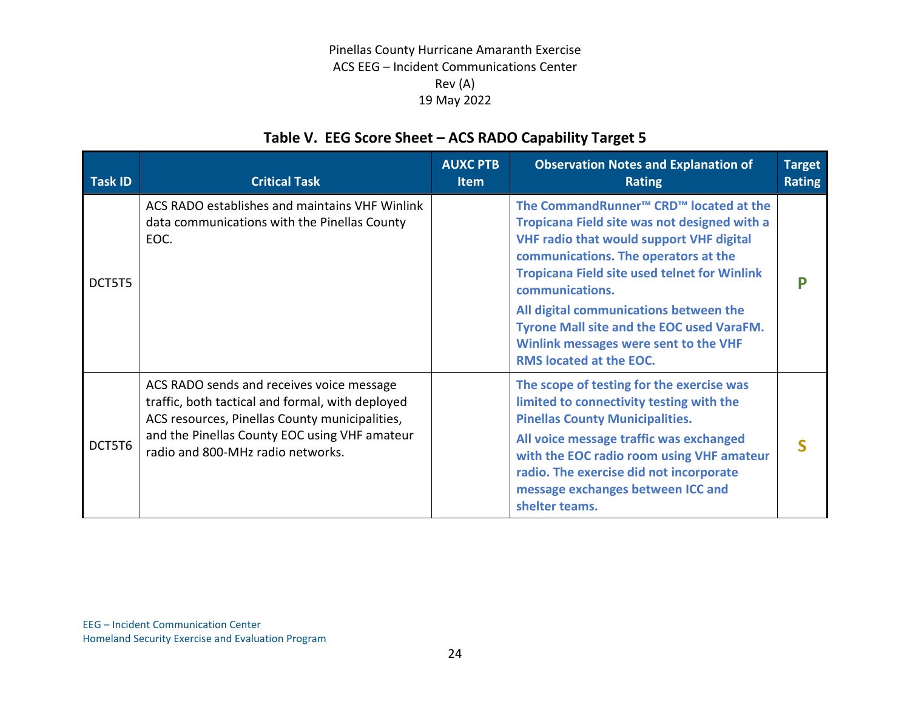# **Table V. EEG Score Sheet – ACS RADO Capability Target 5**

| <b>Task ID</b> | <b>Critical Task</b>                                                                                                                                                                                                                  | <b>AUXC PTB</b><br><b>Item</b> | <b>Observation Notes and Explanation of</b><br><b>Rating</b>                                                                                                                                                                                                                                                                                                                                                                                          | <b>Target</b><br><b>Rating</b> |
|----------------|---------------------------------------------------------------------------------------------------------------------------------------------------------------------------------------------------------------------------------------|--------------------------------|-------------------------------------------------------------------------------------------------------------------------------------------------------------------------------------------------------------------------------------------------------------------------------------------------------------------------------------------------------------------------------------------------------------------------------------------------------|--------------------------------|
| DCT5T5         | ACS RADO establishes and maintains VHF Winlink<br>data communications with the Pinellas County<br>EOC.                                                                                                                                |                                | The CommandRunner <sup>™</sup> CRD <sup>™</sup> located at the<br>Tropicana Field site was not designed with a<br><b>VHF radio that would support VHF digital</b><br>communications. The operators at the<br><b>Tropicana Field site used telnet for Winlink</b><br>communications.<br>All digital communications between the<br><b>Tyrone Mall site and the EOC used VaraFM.</b><br>Winlink messages were sent to the VHF<br>RMS located at the EOC. | P                              |
| DCT5T6         | ACS RADO sends and receives voice message<br>traffic, both tactical and formal, with deployed<br>ACS resources, Pinellas County municipalities,<br>and the Pinellas County EOC using VHF amateur<br>radio and 800-MHz radio networks. |                                | The scope of testing for the exercise was<br>limited to connectivity testing with the<br><b>Pinellas County Municipalities.</b><br>All voice message traffic was exchanged<br>with the EOC radio room using VHF amateur<br>radio. The exercise did not incorporate<br>message exchanges between ICC and<br>shelter teams.                                                                                                                             |                                |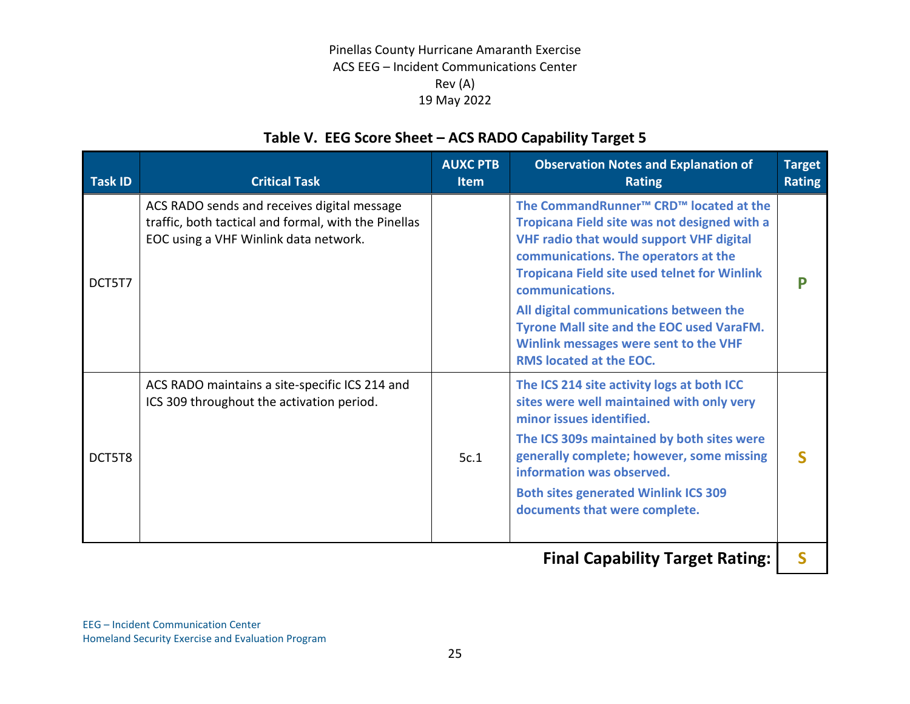# **Table V. EEG Score Sheet – ACS RADO Capability Target 5**

| <b>Task ID</b> | <b>Critical Task</b>                                                                                                                         | <b>AUXC PTB</b><br><b>Item</b> | <b>Observation Notes and Explanation of</b><br><b>Rating</b>                                                                                                                                                                                                                                                                                                                                                                                   | <b>Target</b><br><b>Rating</b> |
|----------------|----------------------------------------------------------------------------------------------------------------------------------------------|--------------------------------|------------------------------------------------------------------------------------------------------------------------------------------------------------------------------------------------------------------------------------------------------------------------------------------------------------------------------------------------------------------------------------------------------------------------------------------------|--------------------------------|
| DCT5T7         | ACS RADO sends and receives digital message<br>traffic, both tactical and formal, with the Pinellas<br>EOC using a VHF Winlink data network. |                                | The CommandRunner <sup>™</sup> CRD <sup>™</sup> located at the<br>Tropicana Field site was not designed with a<br><b>VHF radio that would support VHF digital</b><br>communications. The operators at the<br><b>Tropicana Field site used telnet for Winlink</b><br>communications.<br>All digital communications between the<br>Tyrone Mall site and the EOC used VaraFM.<br>Winlink messages were sent to the VHF<br>RMS located at the EOC. | D                              |
| DCT5T8         | ACS RADO maintains a site-specific ICS 214 and<br>ICS 309 throughout the activation period.                                                  | 5c.1                           | The ICS 214 site activity logs at both ICC<br>sites were well maintained with only very<br>minor issues identified.<br>The ICS 309s maintained by both sites were<br>generally complete; however, some missing<br>information was observed.<br><b>Both sites generated Winlink ICS 309</b><br>documents that were complete.                                                                                                                    | ς                              |

**Final Capability Target Rating: S**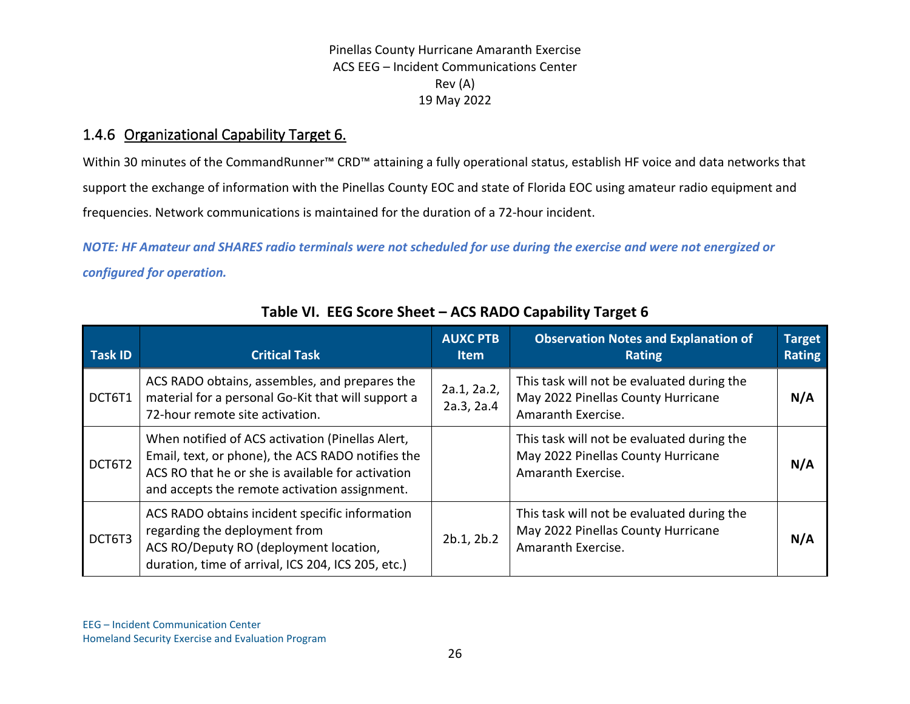## 1.4.6 Organizational Capability Target 6.

Within 30 minutes of the CommandRunner™ CRD™ attaining a fully operational status, establish HF voice and data networks that support the exchange of information with the Pinellas County EOC and state of Florida EOC using amateur radio equipment and frequencies. Network communications is maintained for the duration of a 72-hour incident.

*NOTE: HF Amateur and SHARES radio terminals were not scheduled for use during the exercise and were not energized or configured for operation.*

| <b>Task ID</b> | <b>Critical Task</b>                                                                                                                                                                                        | <b>AUXC PTB</b><br><b>Item</b> | <b>Observation Notes and Explanation of</b><br><b>Rating</b>                                           | <b>Target</b><br><b>Rating</b> |
|----------------|-------------------------------------------------------------------------------------------------------------------------------------------------------------------------------------------------------------|--------------------------------|--------------------------------------------------------------------------------------------------------|--------------------------------|
| DCT6T1         | ACS RADO obtains, assembles, and prepares the<br>material for a personal Go-Kit that will support a<br>72-hour remote site activation.                                                                      | 2a.1, 2a.2,<br>2a.3, 2a.4      | This task will not be evaluated during the<br>May 2022 Pinellas County Hurricane<br>Amaranth Exercise. | N/A                            |
| DCT6T2         | When notified of ACS activation (Pinellas Alert,<br>Email, text, or phone), the ACS RADO notifies the<br>ACS RO that he or she is available for activation<br>and accepts the remote activation assignment. |                                | This task will not be evaluated during the<br>May 2022 Pinellas County Hurricane<br>Amaranth Exercise. | N/A                            |
| DCT6T3         | ACS RADO obtains incident specific information<br>regarding the deployment from<br>ACS RO/Deputy RO (deployment location,<br>duration, time of arrival, ICS 204, ICS 205, etc.)                             | 2b.1, 2b.2                     | This task will not be evaluated during the<br>May 2022 Pinellas County Hurricane<br>Amaranth Exercise. | N/A                            |

## **Table VI. EEG Score Sheet – ACS RADO Capability Target 6**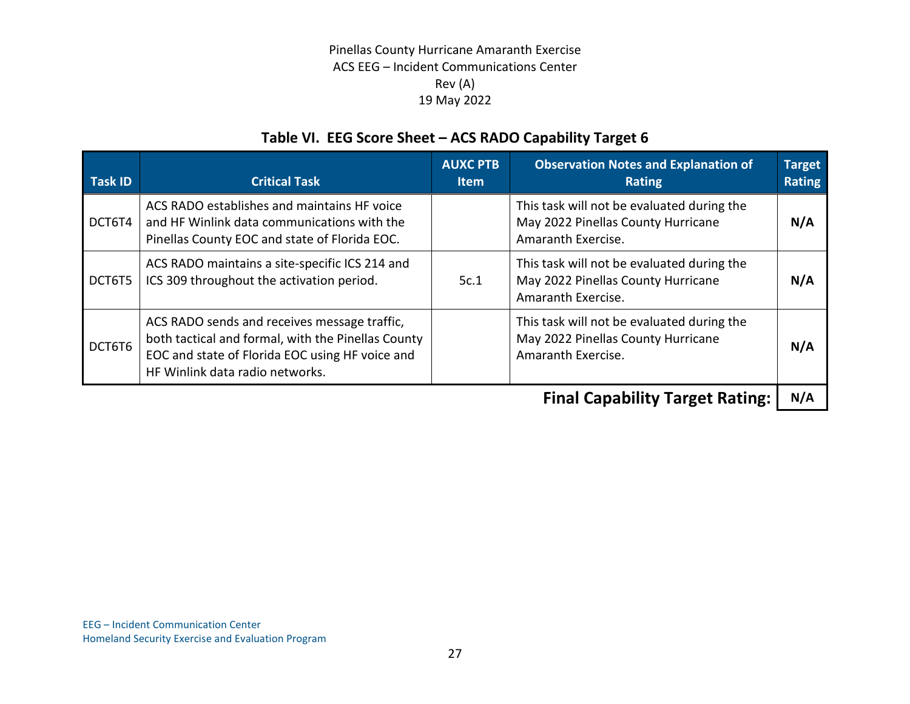# **Table VI. EEG Score Sheet – ACS RADO Capability Target 6**

| <b>Task ID</b> | <b>Critical Task</b>                                                                                                                                                                     | <b>AUXC PTB</b><br><b>Item</b> | <b>Observation Notes and Explanation of</b><br><b>Rating</b>                                           | <b>Target</b><br><b>Rating</b> |
|----------------|------------------------------------------------------------------------------------------------------------------------------------------------------------------------------------------|--------------------------------|--------------------------------------------------------------------------------------------------------|--------------------------------|
| DCT6T4         | ACS RADO establishes and maintains HF voice<br>and HF Winlink data communications with the<br>Pinellas County EOC and state of Florida EOC.                                              |                                | This task will not be evaluated during the<br>May 2022 Pinellas County Hurricane<br>Amaranth Exercise. | N/A                            |
| DCT6T5         | ACS RADO maintains a site-specific ICS 214 and<br>ICS 309 throughout the activation period.                                                                                              | 5c.1                           | This task will not be evaluated during the<br>May 2022 Pinellas County Hurricane<br>Amaranth Exercise. | N/A                            |
| DCT6T6         | ACS RADO sends and receives message traffic,<br>both tactical and formal, with the Pinellas County<br>EOC and state of Florida EOC using HF voice and<br>HF Winlink data radio networks. |                                | This task will not be evaluated during the<br>May 2022 Pinellas County Hurricane<br>Amaranth Exercise. | N/A                            |
|                |                                                                                                                                                                                          |                                | $\Gamma$ inal Canability $\Gamma$ anaat Datinay                                                        | RI A                           |

**Final Capability Target Rating:** | N/A |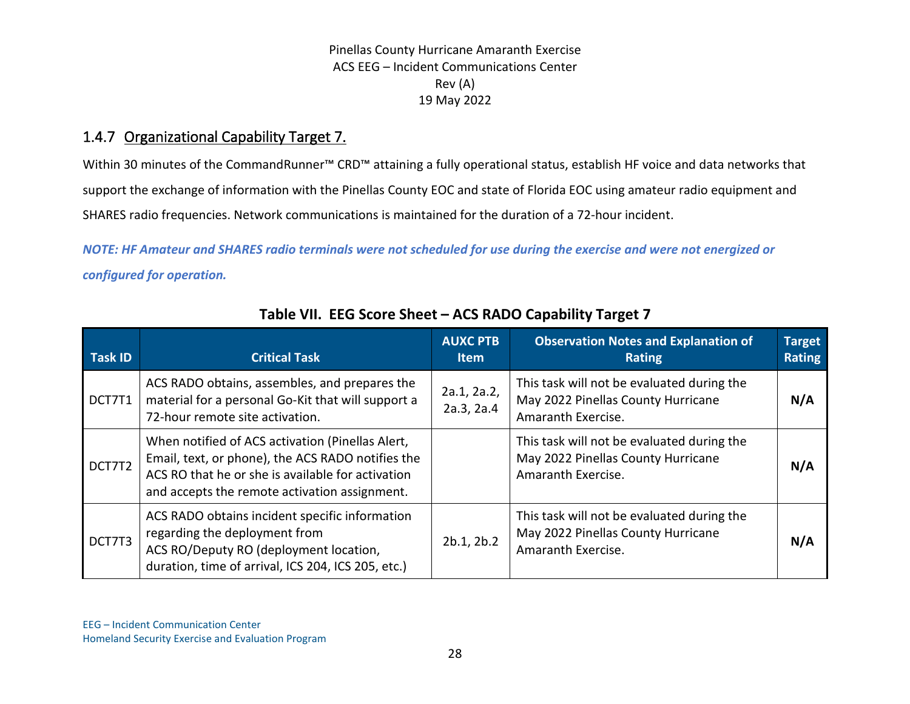## 1.4.7 Organizational Capability Target 7.

Within 30 minutes of the CommandRunner™ CRD™ attaining a fully operational status, establish HF voice and data networks that support the exchange of information with the Pinellas County EOC and state of Florida EOC using amateur radio equipment and SHARES radio frequencies. Network communications is maintained for the duration of a 72-hour incident.

*NOTE: HF Amateur and SHARES radio terminals were not scheduled for use during the exercise and were not energized or configured for operation.*

| <b>Task ID</b> | <b>Critical Task</b>                                                                                                                                                                                        | <b>AUXC PTB</b><br><b>Item</b> | <b>Observation Notes and Explanation of</b><br><b>Rating</b>                                           | <b>Target</b><br>Rating |
|----------------|-------------------------------------------------------------------------------------------------------------------------------------------------------------------------------------------------------------|--------------------------------|--------------------------------------------------------------------------------------------------------|-------------------------|
| DCT7T1         | ACS RADO obtains, assembles, and prepares the<br>material for a personal Go-Kit that will support a<br>72-hour remote site activation.                                                                      | 2a.1, 2a.2,<br>2a.3, 2a.4      | This task will not be evaluated during the<br>May 2022 Pinellas County Hurricane<br>Amaranth Exercise. | N/A                     |
| DCT7T2         | When notified of ACS activation (Pinellas Alert,<br>Email, text, or phone), the ACS RADO notifies the<br>ACS RO that he or she is available for activation<br>and accepts the remote activation assignment. |                                | This task will not be evaluated during the<br>May 2022 Pinellas County Hurricane<br>Amaranth Exercise. | N/A                     |
| DCT7T3         | ACS RADO obtains incident specific information<br>regarding the deployment from<br>ACS RO/Deputy RO (deployment location,<br>duration, time of arrival, ICS 204, ICS 205, etc.)                             | 2b.1, 2b.2                     | This task will not be evaluated during the<br>May 2022 Pinellas County Hurricane<br>Amaranth Exercise. | N/A                     |

## **Table VII. EEG Score Sheet – ACS RADO Capability Target 7**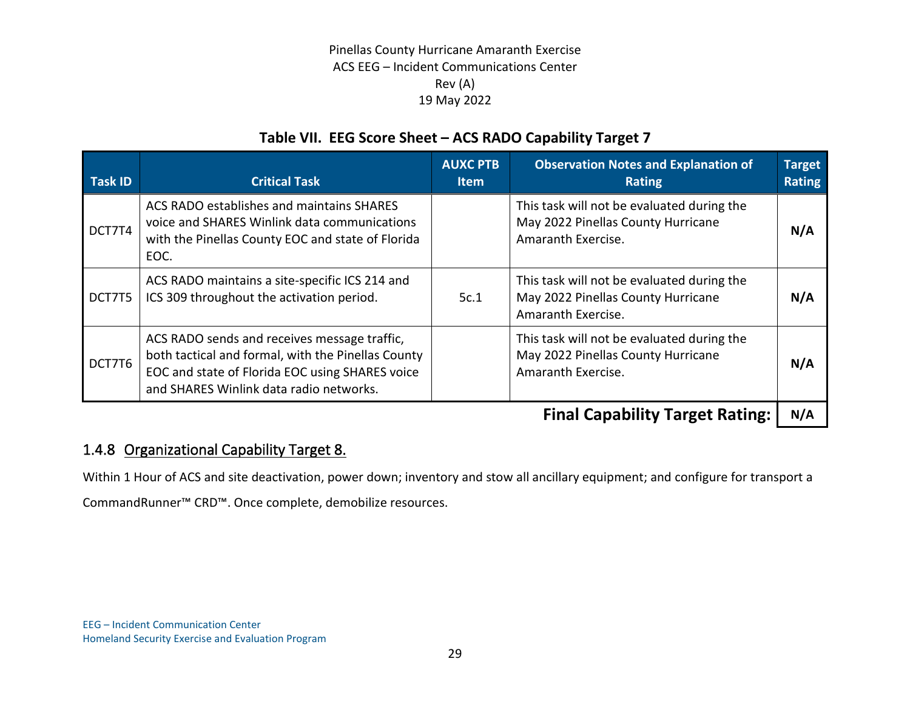## **Table VII. EEG Score Sheet – ACS RADO Capability Target 7**

| <b>Task ID</b> | <b>Critical Task</b>                                                                                                                                                                             | <b>AUXC PTB</b><br><b>Item</b> | <b>Observation Notes and Explanation of</b><br><b>Rating</b>                                           | <b>Target</b><br><b>Rating</b> |
|----------------|--------------------------------------------------------------------------------------------------------------------------------------------------------------------------------------------------|--------------------------------|--------------------------------------------------------------------------------------------------------|--------------------------------|
| DCT7T4         | ACS RADO establishes and maintains SHARES<br>voice and SHARES Winlink data communications<br>with the Pinellas County EOC and state of Florida<br>EOC.                                           |                                | This task will not be evaluated during the<br>May 2022 Pinellas County Hurricane<br>Amaranth Exercise. | N/A                            |
| DCT7T5         | ACS RADO maintains a site-specific ICS 214 and<br>ICS 309 throughout the activation period.                                                                                                      | 5c.1                           | This task will not be evaluated during the<br>May 2022 Pinellas County Hurricane<br>Amaranth Exercise. | N/A                            |
| DCT7T6         | ACS RADO sends and receives message traffic,<br>both tactical and formal, with the Pinellas County<br>EOC and state of Florida EOC using SHARES voice<br>and SHARES Winlink data radio networks. |                                | This task will not be evaluated during the<br>May 2022 Pinellas County Hurricane<br>Amaranth Exercise. | N/A                            |
|                |                                                                                                                                                                                                  |                                | Einal Canability Targot Dating:                                                                        | NI/A                           |

**Final Capability Target Rating: N/A**

## 1.4.8 Organizational Capability Target 8.

Within 1 Hour of ACS and site deactivation, power down; inventory and stow all ancillary equipment; and configure for transport a

CommandRunner™ CRD™. Once complete, demobilize resources.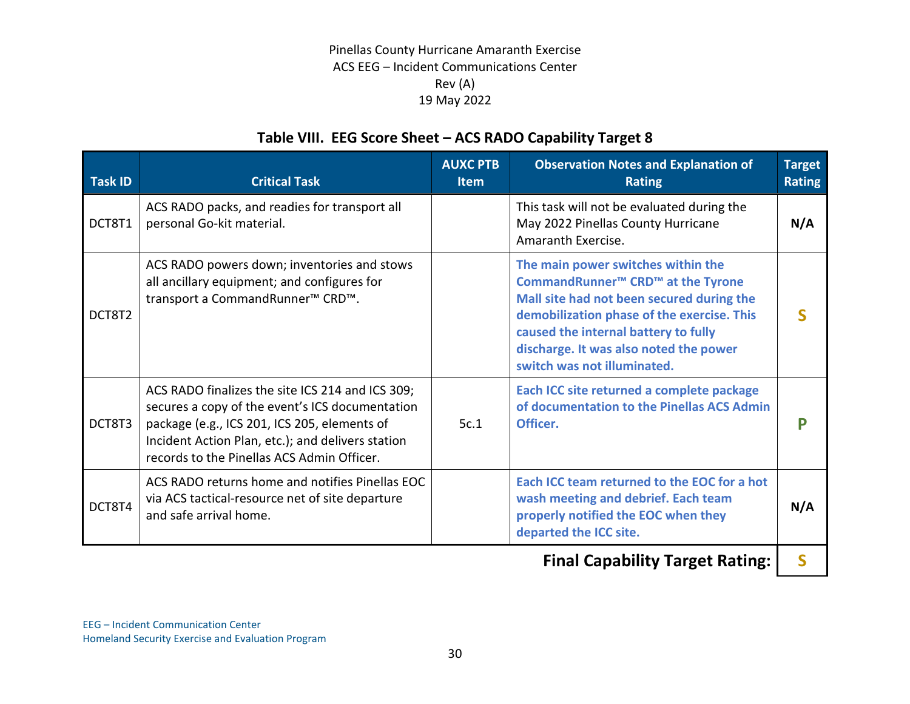## **Table VIII. EEG Score Sheet – ACS RADO Capability Target 8**

| <b>Task ID</b> | <b>Critical Task</b>                                                                                                                                                                                                                                   | <b>AUXC PTB</b><br><b>Item</b> | <b>Observation Notes and Explanation of</b><br><b>Rating</b>                                                                                                                                                                                                                                                | <b>Target</b><br><b>Rating</b> |
|----------------|--------------------------------------------------------------------------------------------------------------------------------------------------------------------------------------------------------------------------------------------------------|--------------------------------|-------------------------------------------------------------------------------------------------------------------------------------------------------------------------------------------------------------------------------------------------------------------------------------------------------------|--------------------------------|
| DCT8T1         | ACS RADO packs, and readies for transport all<br>personal Go-kit material.                                                                                                                                                                             |                                | This task will not be evaluated during the<br>May 2022 Pinellas County Hurricane<br>Amaranth Exercise.                                                                                                                                                                                                      | N/A                            |
| DCT8T2         | ACS RADO powers down; inventories and stows<br>all ancillary equipment; and configures for<br>transport a CommandRunner <sup>™</sup> CRD <sup>™</sup> .                                                                                                |                                | The main power switches within the<br>CommandRunner <sup>™</sup> CRD <sup>™</sup> at the Tyrone<br>Mall site had not been secured during the<br>demobilization phase of the exercise. This<br>caused the internal battery to fully<br>discharge. It was also noted the power<br>switch was not illuminated. |                                |
| DCT8T3         | ACS RADO finalizes the site ICS 214 and ICS 309;<br>secures a copy of the event's ICS documentation<br>package (e.g., ICS 201, ICS 205, elements of<br>Incident Action Plan, etc.); and delivers station<br>records to the Pinellas ACS Admin Officer. | 5c.1                           | Each ICC site returned a complete package<br>of documentation to the Pinellas ACS Admin<br>Officer.                                                                                                                                                                                                         | Р                              |
| DCT8T4         | ACS RADO returns home and notifies Pinellas EOC<br>via ACS tactical-resource net of site departure<br>and safe arrival home.                                                                                                                           |                                | Each ICC team returned to the EOC for a hot<br>wash meeting and debrief. Each team<br>properly notified the EOC when they<br>departed the ICC site.                                                                                                                                                         | N/A                            |
|                |                                                                                                                                                                                                                                                        |                                |                                                                                                                                                                                                                                                                                                             |                                |

**Final Capability Target Rating: | S**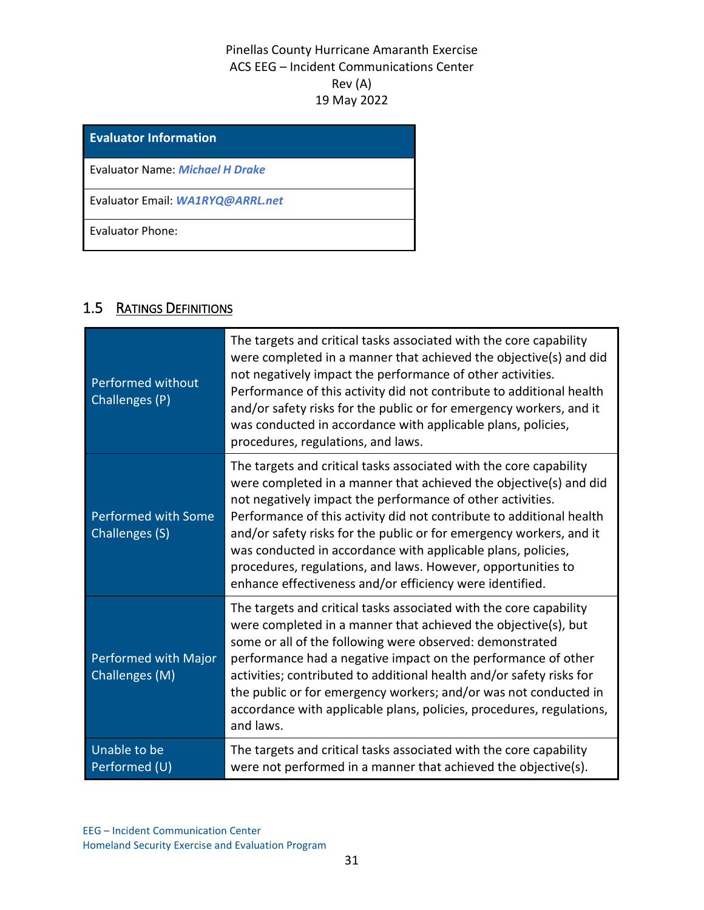**Evaluator Information**

Evaluator Name: *Michael H Drake*

Evaluator Email: *WA1RYQ@ARRL.net*

Evaluator Phone:

## 1.5 RATINGS DEFINITIONS

| Performed without<br>Challenges (P)    | The targets and critical tasks associated with the core capability<br>were completed in a manner that achieved the objective(s) and did<br>not negatively impact the performance of other activities.<br>Performance of this activity did not contribute to additional health<br>and/or safety risks for the public or for emergency workers, and it<br>was conducted in accordance with applicable plans, policies,<br>procedures, regulations, and laws.                                                                                       |
|----------------------------------------|--------------------------------------------------------------------------------------------------------------------------------------------------------------------------------------------------------------------------------------------------------------------------------------------------------------------------------------------------------------------------------------------------------------------------------------------------------------------------------------------------------------------------------------------------|
| Performed with Some<br>Challenges (S)  | The targets and critical tasks associated with the core capability<br>were completed in a manner that achieved the objective(s) and did<br>not negatively impact the performance of other activities.<br>Performance of this activity did not contribute to additional health<br>and/or safety risks for the public or for emergency workers, and it<br>was conducted in accordance with applicable plans, policies,<br>procedures, regulations, and laws. However, opportunities to<br>enhance effectiveness and/or efficiency were identified. |
| Performed with Major<br>Challenges (M) | The targets and critical tasks associated with the core capability<br>were completed in a manner that achieved the objective(s), but<br>some or all of the following were observed: demonstrated<br>performance had a negative impact on the performance of other<br>activities; contributed to additional health and/or safety risks for<br>the public or for emergency workers; and/or was not conducted in<br>accordance with applicable plans, policies, procedures, regulations,<br>and laws.                                               |
| Unable to be<br>Performed (U)          | The targets and critical tasks associated with the core capability<br>were not performed in a manner that achieved the objective(s).                                                                                                                                                                                                                                                                                                                                                                                                             |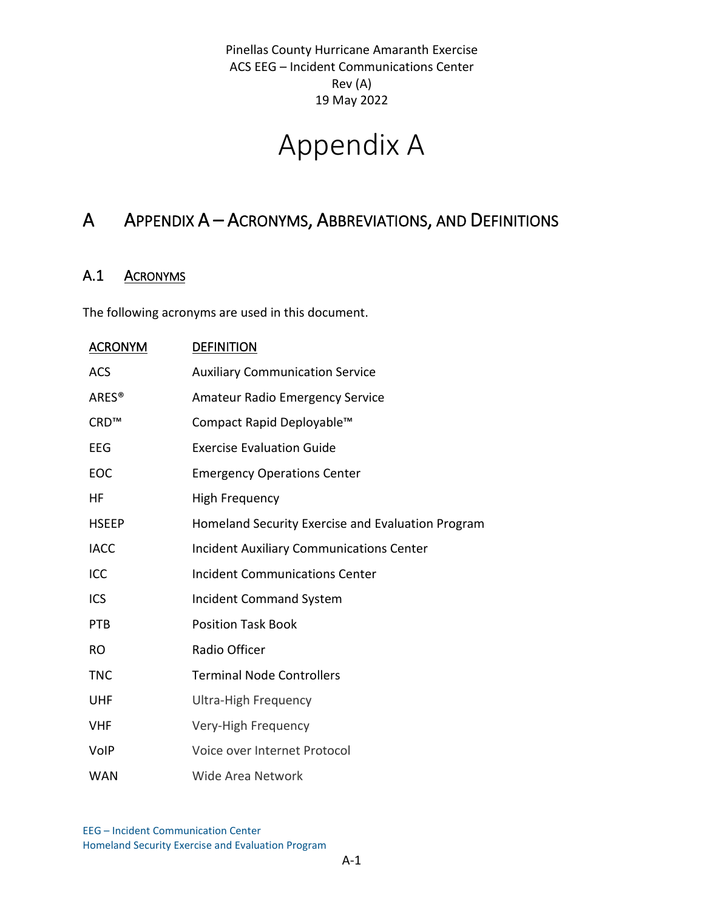# Appendix A

# A APPENDIX A – ACRONYMS, ABBREVIATIONS, AND DEFINITIONS

## A.1 ACRONYMS

The following acronyms are used in this document.

| <b>ACRONYM</b>    | <b>DEFINITION</b>                                 |
|-------------------|---------------------------------------------------|
| <b>ACS</b>        | <b>Auxiliary Communication Service</b>            |
| ARES <sup>®</sup> | <b>Amateur Radio Emergency Service</b>            |
| CRD™              | Compact Rapid Deployable™                         |
| EEG               | <b>Exercise Evaluation Guide</b>                  |
| EOC               | <b>Emergency Operations Center</b>                |
| HF                | <b>High Frequency</b>                             |
| <b>HSEEP</b>      | Homeland Security Exercise and Evaluation Program |
| <b>IACC</b>       | <b>Incident Auxiliary Communications Center</b>   |
| ICC               | <b>Incident Communications Center</b>             |
| <b>ICS</b>        | <b>Incident Command System</b>                    |
| PTB               | <b>Position Task Book</b>                         |
| <b>RO</b>         | Radio Officer                                     |
| <b>TNC</b>        | <b>Terminal Node Controllers</b>                  |
| <b>UHF</b>        | <b>Ultra-High Frequency</b>                       |
| <b>VHF</b>        | Very-High Frequency                               |
| <b>VolP</b>       | Voice over Internet Protocol                      |
| <b>WAN</b>        | Wide Area Network                                 |

EEG – Incident Communication Center Homeland Security Exercise and Evaluation Program